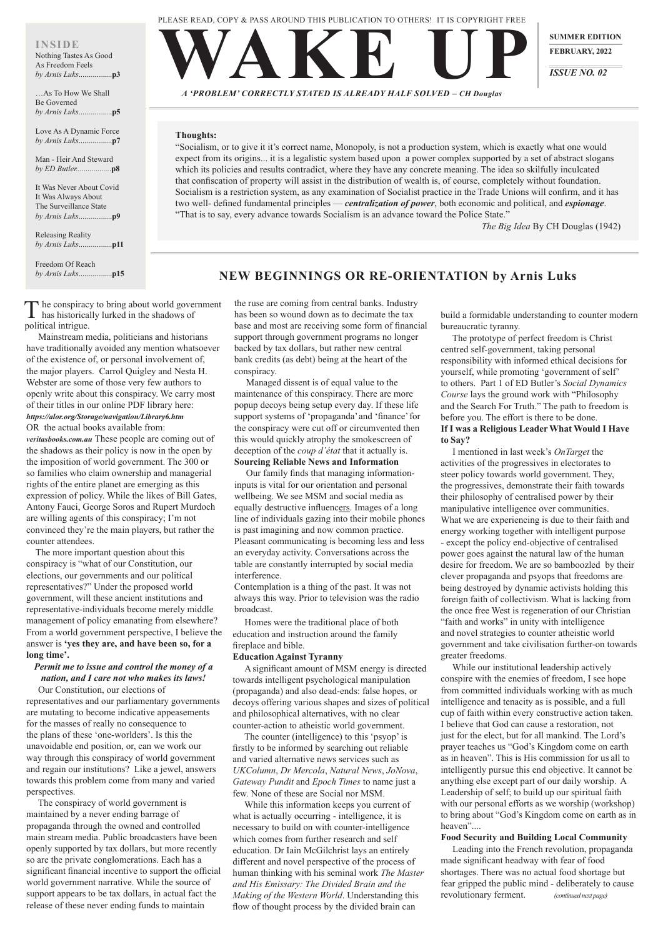WAKE UP *A 'PROBLEM' CORRECTLY STATED IS ALREADY HALF SOLVED – CH Douglas*

**SUMMER EDITION** 

**FEBRUARY, 2022**

*ISSUE NO. 02*

# **NEW BEGINNINGS OR RE-ORIENTATION by Arnis Luks**

## **Thoughts:**

 $\Gamma$  he conspiracy to bring about world government has historically lurked in the shadows of political intrigue.

"Socialism, or to give it it's correct name, Monopoly, is not a production system, which is exactly what one would expect from its origins... it is a legalistic system based upon a power complex supported by a set of abstract slogans which its policies and results contradict, where they have any concrete meaning. The idea so skilfully inculcated that confiscation of property will assist in the distribution of wealth is, of course, completely without foundation. Socialism is a restriction system, as any examination of Socialist practice in the Trade Unions will confirm, and it has two well- defined fundamental principles — *centralization of power*, both economic and political, and *espionage*. "That is to say, every advance towards Socialism is an advance toward the Police State."

*The Big Idea* By CH Douglas (1942)

 Mainstream media, politicians and historians have traditionally avoided any mention whatsoever of the existence of, or personal involvement of, the major players. Carrol Quigley and Nesta H. Webster are some of those very few authors to openly write about this conspiracy. We carry most of their titles in our online PDF library here: *https://alor.org/Storage/navigation/Library6.htm* OR the actual books available from:

*veritasbooks.com.au* These people are coming out of the shadows as their policy is now in the open by the imposition of world government. The 300 or so families who claim ownership and managerial rights of the entire planet are emerging as this expression of policy. While the likes of Bill Gates, Antony Fauci, George Soros and Rupert Murdoch are willing agents of this conspiracy; I'm not convinced they're the main players, but rather the counter attendees.

The more important question about this conspiracy is "what of our Constitution, our elections, our governments and our political representatives?" Under the proposed world government, will these ancient institutions and representative-individuals become merely middle management of policy emanating from elsewhere? From a world government perspective, I believe the answer is **'yes they are, and have been so, for a long time'.**

## *Permit me to issue and control the money of a nation, and I care not who makes its laws!* Our Constitution, our elections of

representatives and our parliamentary governments

are mutating to become indicative appeasements for the masses of really no consequence to the plans of these 'one-worlders'. Is this the unavoidable end position, or, can we work our way through this conspiracy of world government and regain our institutions? Like a jewel, answers towards this problem come from many and varied perspectives.

The conspiracy of world government is maintained by a never ending barrage of propaganda through the owned and controlled main stream media. Public broadcasters have been openly supported by tax dollars, but more recently so are the private conglomerations. Each has a significant financial incentive to support the official world government narrative. While the source of support appears to be tax dollars, in actual fact the release of these never ending funds to maintain

the ruse are coming from central banks. Industry has been so wound down as to decimate the tax base and most are receiving some form of financial support through government programs no longer backed by tax dollars, but rather new central bank credits (as debt) being at the heart of the conspiracy.

Managed dissent is of equal value to the maintenance of this conspiracy. There are more popup decoys being setup every day. If these life support systems of 'propaganda' and 'finance' for the conspiracy were cut off or circumvented then this would quickly atrophy the smokescreen of deception of the *coup d'état* that it actually is. **Sourcing Reliable News and Information**

Our family finds that managing informationinputs is vital for our orientation and personal wellbeing. We see MSM and social media as equally destructive influencers. Images of a long line of individuals gazing into their mobile phones is past imagining and now common practice. Pleasant communicating is becoming less and less an everyday activity. Conversations across the table are constantly interrupted by social media interference.

Contemplation is a thing of the past. It was not always this way. Prior to television was the radio broadcast.

 Homes were the traditional place of both education and instruction around the family fireplace and bible.

## **Education Against Tyranny**

A significant amount of MSM energy is directed towards intelligent psychological manipulation (propaganda) and also dead-ends: false hopes, or decoys offering various shapes and sizes of political

and philosophical alternatives, with no clear counter-action to atheistic world government. The counter (intelligence) to this 'psyop' is firstly to be informed by searching out reliable and varied alternative news services such as *UKColumn*, *Dr Mercola*, *Natural News*, *JoNova*, *Gateway Pundit* and *Epoch Times* to name just a few. None of these are Social nor MSM.

While this information keeps you current of what is actually occurring - intelligence, it is necessary to build on with counter-intelligence which comes from further research and self education. Dr Iain McGilchrist lays an entirely different and novel perspective of the process of human thinking with his seminal work *The Master and His Emissary: The Divided Brain and the Making of the Western World*. Understanding this flow of thought process by the divided brain can

build a formidable understanding to counter modern bureaucratic tyranny.

 The prototype of perfect freedom is Christ centred self-government, taking personal responsibility with informed ethical decisions for yourself, while promoting 'government of self' to others. Part 1 of ED Butler's *Social Dynamics Course* lays the ground work with "Philosophy and the Search For Truth." The path to freedom is before you. The effort is there to be done. **If I was a Religious Leader What Would I Have to Say?**

I mentioned in last week's *OnTarget* the activities of the progressives in electorates to steer policy towards world government. They, the progressives, demonstrate their faith towards their philosophy of centralised power by their manipulative intelligence over communities. What we are experiencing is due to their faith and energy working together with intelligent purpose - except the policy end-objective of centralised power goes against the natural law of the human desire for freedom. We are so bamboozled by their clever propaganda and psyops that freedoms are being destroyed by dynamic activists holding this foreign faith of collectivism. What is lacking from the once free West is regeneration of our Christian "faith and works" in unity with intelligence and novel strategies to counter atheistic world government and take civilisation further-on towards greater freedoms.

While our institutional leadership actively conspire with the enemies of freedom, I see hope from committed individuals working with as much intelligence and tenacity as is possible, and a full cup of faith within every constructive action taken. I believe that God can cause a restoration, not just for the elect, but for all mankind. The Lord's prayer teaches us "God's Kingdom come on earth as in heaven". This is His commission for us all to intelligently pursue this end objective. It cannot be anything else except part of our daily worship. A Leadership of self; to build up our spiritual faith with our personal efforts as we worship (workshop) to bring about "God's Kingdom come on earth as in heaven"....

## **Food Security and Building Local Community**

Leading into the French revolution, propaganda made significant headway with fear of food shortages. There was no actual food shortage but fear gripped the public mind - deliberately to cause revolutionary ferment. *(continued next page)*

## **INSIDE**

#### Nothing Tastes As Good As Freedom Feels *by Arnis Luks*.................**p3**

…As To How We Shall Be Governed *by Arnis Luks*.................**p5**

Love As A Dynamic Force *by Arnis Luks*.................**p7**

Man - Heir And Steward *by ED Butler.................*.**p8**

It Was Never About Covid It Was Always About The Surveillance State *by Arnis Luks*.................**p9**

Releasing Reality *by Arnis Luks*.................**p11**

Freedom Of Reach *by Arnis Luks*.................**p15** PLEASE READ, COPY & PASS AROUND THIS PUBLICATION TO OTHERS! IT IS COPYRIGHT FREE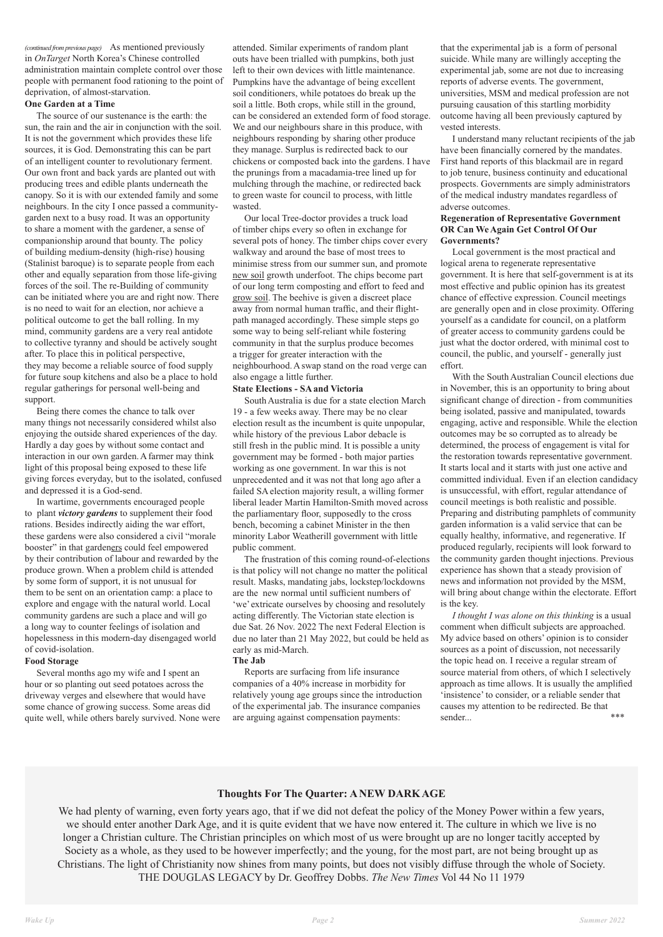*(continued from previous page)* As mentioned previously in *OnTarget* North Korea's Chinese controlled administration maintain complete control over those people with permanent food rationing to the point of deprivation, of almost-starvation.

### **One Garden at a Time**

The source of our sustenance is the earth: the sun, the rain and the air in conjunction with the soil. It is not the government which provides these life sources, it is God. Demonstrating this can be part of an intelligent counter to revolutionary ferment. Our own front and back yards are planted out with producing trees and edible plants underneath the canopy. So it is with our extended family and some neighbours. In the city I once passed a communitygarden next to a busy road. It was an opportunity to share a moment with the gardener, a sense of companionship around that bounty. The policy of building medium-density (high-rise) housing (Stalinist baroque) is to separate people from each other and equally separation from those life-giving forces of the soil. The re-Building of community can be initiated where you are and right now. There is no need to wait for an election, nor achieve a political outcome to get the ball rolling. In my mind, community gardens are a very real antidote to collective tyranny and should be actively sought after. To place this in political perspective, they may become a reliable source of food supply for future soup kitchens and also be a place to hold regular gatherings for personal well-being and support.

Being there comes the chance to talk over many things not necessarily considered whilst also enjoying the outside shared experiences of the day. Hardly a day goes by without some contact and interaction in our own garden. A farmer may think light of this proposal being exposed to these life giving forces everyday, but to the isolated, confused and depressed it is a God-send.

In wartime, governments encouraged people to plant *victory gardens* to supplement their food rations. Besides indirectly aiding the war effort, these gardens were also considered a civil "morale booster" in that gardeners could feel empowered by their contribution of labour and rewarded by the produce grown. When a problem child is attended by some form of support, it is not unusual for them to be sent on an orientation camp: a place to explore and engage with the natural world. Local community gardens are such a place and will go a long way to counter feelings of isolation and hopelessness in this modern-day disengaged world of covid-isolation.

## **Food Storage**

attended. Similar experiments of random plant outs have been trialled with pumpkins, both just left to their own devices with little maintenance. Pumpkins have the advantage of being excellent soil conditioners, while potatoes do break up the soil a little. Both crops, while still in the ground, can be considered an extended form of food storage. We and our neighbours share in this produce, with neighbours responding by sharing other produce they manage. Surplus is redirected back to our chickens or composted back into the gardens. I have the prunings from a macadamia-tree lined up for mulching through the machine, or redirected back to green waste for council to process, with little wasted.

Our local Tree-doctor provides a truck load of timber chips every so often in exchange for several pots of honey. The timber chips cover every walkway and around the base of most trees to minimise stress from our summer sun, and promote new soil growth underfoot. The chips become part of our long term composting and effort to feed and grow soil. The beehive is given a discreet place away from normal human traffic, and their flightpath managed accordingly. These simple steps go some way to being self-reliant while fostering community in that the surplus produce becomes a trigger for greater interaction with the neighbourhood. A swap stand on the road verge can also engage a little further.

Several months ago my wife and I spent an hour or so planting out seed potatoes across the driveway verges and elsewhere that would have some chance of growing success. Some areas did of the experimental jab. The insurance companies quite well, while others barely survived. None were are arguing against compensation payments:

#### **State Elections - SA and Victoria**

South Australia is due for a state election March 19 - a few weeks away. There may be no clear election result as the incumbent is quite unpopular, while history of the previous Labor debacle is still fresh in the public mind. It is possible a unity government may be formed - both major parties working as one government. In war this is not unprecedented and it was not that long ago after a failed SA election majority result, a willing former liberal leader Martin Hamilton-Smith moved across the parliamentary floor, supposedly to the cross bench, becoming a cabinet Minister in the then minority Labor Weatherill government with little public comment.

The frustration of this coming round-of-elections is that policy will not change no matter the political result. Masks, mandating jabs, lockstep/lockdowns are the new normal until sufficient numbers of 'we' extricate ourselves by choosing and resolutely acting differently. The Victorian state election is due Sat. 26 Nov. 2022 The next Federal Election is due no later than 21 May 2022, but could be held as early as mid-March. **The Jab**

# Reports are surfacing from life insurance companies of a 40% increase in morbidity for relatively young age groups since the introduction

that the experimental jab is a form of personal suicide. While many are willingly accepting the experimental jab, some are not due to increasing reports of adverse events. The government, universities, MSM and medical profession are not pursuing causation of this startling morbidity outcome having all been previously captured by vested interests.

I understand many reluctant recipients of the jab have been financially cornered by the mandates. First hand reports of this blackmail are in regard to job tenure, business continuity and educational prospects. Governments are simply administrators of the medical industry mandates regardless of adverse outcomes.

## **Regeneration of Representative Government OR Can We Again Get Control Of Our Governments?**

 Local government is the most practical and logical arena to regenerate representative government. It is here that self-government is at its most effective and public opinion has its greatest chance of effective expression. Council meetings are generally open and in close proximity. Offering yourself as a candidate for council, on a platform of greater access to community gardens could be just what the doctor ordered, with minimal cost to council, the public, and yourself - generally just effort.

With the South Australian Council elections due in November, this is an opportunity to bring about significant change of direction - from communities being isolated, passive and manipulated, towards engaging, active and responsible. While the election outcomes may be so corrupted as to already be determined, the process of engagement is vital for the restoration towards representative government. It starts local and it starts with just one active and committed individual. Even if an election candidacy is unsuccessful, with effort, regular attendance of council meetings is both realistic and possible. Preparing and distributing pamphlets of community garden information is a valid service that can be equally healthy, informative, and regenerative. If produced regularly, recipients will look forward to the community garden thought injections. Previous experience has shown that a steady provision of news and information not provided by the MSM, will bring about change within the electorate. Effort is the key.

 *I thought I was alone on this thinking* is a usual comment when difficult subjects are approached. My advice based on others' opinion is to consider sources as a point of discussion, not necessarily the topic head on. I receive a regular stream of source material from others, of which I selectively approach as time allows. It is usually the amplified 'insistence' to consider, or a reliable sender that causes my attention to be redirected. Be that

sender... \*\*\*

## **Thoughts For The Quarter: A NEW DARK AGE**

We had plenty of warning, even forty years ago, that if we did not defeat the policy of the Money Power within a few years, we should enter another Dark Age, and it is quite evident that we have now entered it. The culture in which we live is no longer a Christian culture. The Christian principles on which most of us were brought up are no longer tacitly accepted by Society as a whole, as they used to be however imperfectly; and the young, for the most part, are not being brought up as Christians. The light of Christianity now shines from many points, but does not visibly diffuse through the whole of Society. THE DOUGLAS LEGACY by Dr. Geoffrey Dobbs. *The New Times* Vol 44 No 11 1979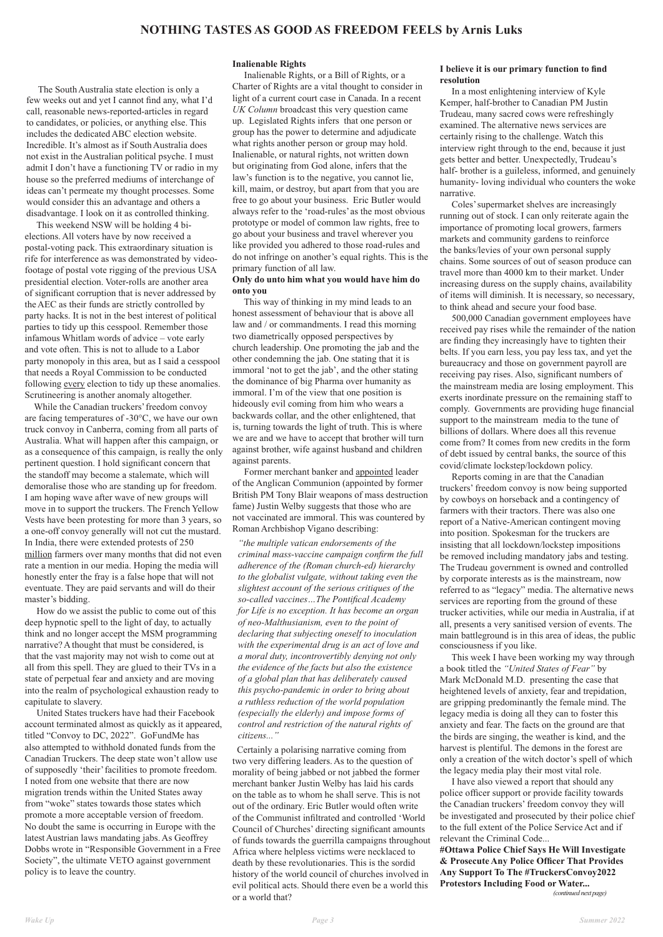The South Australia state election is only a few weeks out and yet I cannot find any, what I'd call, reasonable news-reported-articles in regard to candidates, or policies, or anything else. This includes the dedicated ABC election website. Incredible. It's almost as if South Australia does not exist in the Australian political psyche. I must admit I don't have a functioning TV or radio in my house so the preferred mediums of interchange of ideas can't permeate my thought processes. Some would consider this an advantage and others a disadvantage. I look on it as controlled thinking.

This weekend NSW will be holding 4 bielections. All voters have by now received a postal-voting pack. This extraordinary situation is rife for interference as was demonstrated by videofootage of postal vote rigging of the previous USA presidential election. Voter-rolls are another area of significant corruption that is never addressed by the AEC as their funds are strictly controlled by party hacks. It is not in the best interest of political parties to tidy up this cesspool. Remember those infamous Whitlam words of advice – vote early and vote often. This is not to allude to a Labor party monopoly in this area, but as I said a cesspool that needs a Royal Commission to be conducted following every election to tidy up these anomalies. Scrutineering is another anomaly altogether.

While the Canadian truckers' freedom convoy are facing temperatures of -30°C, we have our own truck convoy in Canberra, coming from all parts of Australia. What will happen after this campaign, or as a consequence of this campaign, is really the only pertinent question. I hold significant concern that the standoff may become a stalemate, which will demoralise those who are standing up for freedom. I am hoping wave after wave of new groups will move in to support the truckers. The French Yellow Vests have been protesting for more than 3 years, so a one-off convoy generally will not cut the mustard. In India, there were extended protests of 250 million farmers over many months that did not even rate a mention in our media. Hoping the media will honestly enter the fray is a false hope that will not eventuate. They are paid servants and will do their master's bidding.

How do we assist the public to come out of this deep hypnotic spell to the light of day, to actually think and no longer accept the MSM programming narrative? A thought that must be considered, is that the vast majority may not wish to come out at all from this spell. They are glued to their TVs in a state of perpetual fear and anxiety and are moving into the realm of psychological exhaustion ready to capitulate to slavery. United States truckers have had their Facebook account terminated almost as quickly as it appeared, titled "Convoy to DC, 2022". GoFundMe has also attempted to withhold donated funds from the Canadian Truckers. The deep state won't allow use of supposedly 'their' facilities to promote freedom. I noted from one website that there are now migration trends within the United States away from "woke" states towards those states which promote a more acceptable version of freedom. No doubt the same is occurring in Europe with the latest Austrian laws mandating jabs. As Geoffrey Dobbs wrote in "Responsible Government in a Free Society", the ultimate VETO against government policy is to leave the country.

#### **Inalienable Rights**

Inalienable Rights, or a Bill of Rights, or a Charter of Rights are a vital thought to consider in light of a current court case in Canada. In a recent *UK Column* broadcast this very question came up. Legislated Rights infers that one person or group has the power to determine and adjudicate what rights another person or group may hold. Inalienable, or natural rights, not written down but originating from God alone, infers that the law's function is to the negative, you cannot lie, kill, maim, or destroy, but apart from that you are free to go about your business. Eric Butler would always refer to the 'road-rules' as the most obvious prototype or model of common law rights, free to go about your business and travel wherever you like provided you adhered to those road-rules and do not infringe on another's equal rights. This is the primary function of all law.

### **Only do unto him what you would have him do onto you**

This way of thinking in my mind leads to an honest assessment of behaviour that is above all law and / or commandments. I read this morning two diametrically opposed perspectives by church leadership. One promoting the jab and the other condemning the jab. One stating that it is immoral 'not to get the jab', and the other stating the dominance of big Pharma over humanity as immoral. I'm of the view that one position is hideously evil coming from him who wears a backwards collar, and the other enlightened, that is, turning towards the light of truth. This is where we are and we have to accept that brother will turn against brother, wife against husband and children against parents.

 Former merchant banker and appointed leader of the Anglican Communion (appointed by former British PM Tony Blair weapons of mass destruction fame) Justin Welby suggests that those who are not vaccinated are immoral. This was countered by Roman Archbishop Vigano describing:

*"the multiple vatican endorsements of the criminal mass-vaccine campaign confirm the full adherence of the (Roman church-ed) hierarchy to the globalist vulgate, without taking even the slightest account of the serious critiques of the so-called vaccines…The Pontifical Academy for Life is no exception. It has become an organ of neo-Malthusianism, even to the point of declaring that subjecting oneself to inoculation with the experimental drug is an act of love and a moral duty, incontrovertibly denying not only the evidence of the facts but also the existence of a global plan that has deliberately caused this psycho-pandemic in order to bring about a ruthless reduction of the world population* 

*(especially the elderly) and impose forms of control and restriction of the natural rights of citizens..."*

Certainly a polarising narrative coming from two very differing leaders. As to the question of morality of being jabbed or not jabbed the former merchant banker Justin Welby has laid his cards on the table as to whom he shall serve. This is not out of the ordinary. Eric Butler would often write of the Communist infiltrated and controlled 'World Council of Churches' directing significant amounts of funds towards the guerrilla campaigns throughout Africa where helpless victims were necklaced to death by these revolutionaries. This is the sordid history of the world council of churches involved in evil political acts. Should there even be a world this or a world that?

#### **I believe it is our primary function to find resolution**

In a most enlightening interview of Kyle Kemper, half-brother to Canadian PM Justin Trudeau, many sacred cows were refreshingly examined. The alternative news services are certainly rising to the challenge. Watch this interview right through to the end, because it just gets better and better. Unexpectedly, Trudeau's half- brother is a guileless, informed, and genuinely humanity- loving individual who counters the woke narrative.

Coles' supermarket shelves are increasingly running out of stock. I can only reiterate again the importance of promoting local growers, farmers markets and community gardens to reinforce the banks/levies of your own personal supply chains. Some sources of out of season produce can travel more than 4000 km to their market. Under increasing duress on the supply chains, availability of items will diminish. It is necessary, so necessary, to think ahead and secure your food base.

500,000 Canadian government employees have received pay rises while the remainder of the nation are finding they increasingly have to tighten their belts. If you earn less, you pay less tax, and yet the bureaucracy and those on government payroll are receiving pay rises. Also, significant numbers of the mainstream media are losing employment. This exerts inordinate pressure on the remaining staff to comply. Governments are providing huge financial support to the mainstream media to the tune of billions of dollars. Where does all this revenue come from? It comes from new credits in the form of debt issued by central banks, the source of this covid/climate lockstep/lockdown policy.

Reports coming in are that the Canadian truckers' freedom convoy is now being supported by cowboys on horseback and a contingency of farmers with their tractors. There was also one report of a Native-American contingent moving into position. Spokesman for the truckers are insisting that all lockdown/lockstep impositions be removed including mandatory jabs and testing. The Trudeau government is owned and controlled by corporate interests as is the mainstream, now referred to as "legacy" media. The alternative news services are reporting from the ground of these trucker activities, while our media in Australia, if at all, presents a very sanitised version of events. The main battleground is in this area of ideas, the public consciousness if you like.

This week I have been working my way through a book titled the *"United States of Fear"* by Mark McDonald M.D. presenting the case that heightened levels of anxiety, fear and trepidation, are gripping predominantly the female mind. The legacy media is doing all they can to foster this anxiety and fear. The facts on the ground are that the birds are singing, the weather is kind, and the harvest is plentiful. The demons in the forest are only a creation of the witch doctor's spell of which the legacy media play their most vital role. I have also viewed a report that should any police officer support or provide facility towards the Canadian truckers' freedom convoy they will be investigated and prosecuted by their police chief to the full extent of the Police Service Act and if relevant the Criminal Code...

**#Ottawa Police Chief Says He Will Investigate & Prosecute Any Police Officer That Provides Any Support To The #TruckersConvoy2022 Protestors Including Food or Water...**

 *(continued next page)*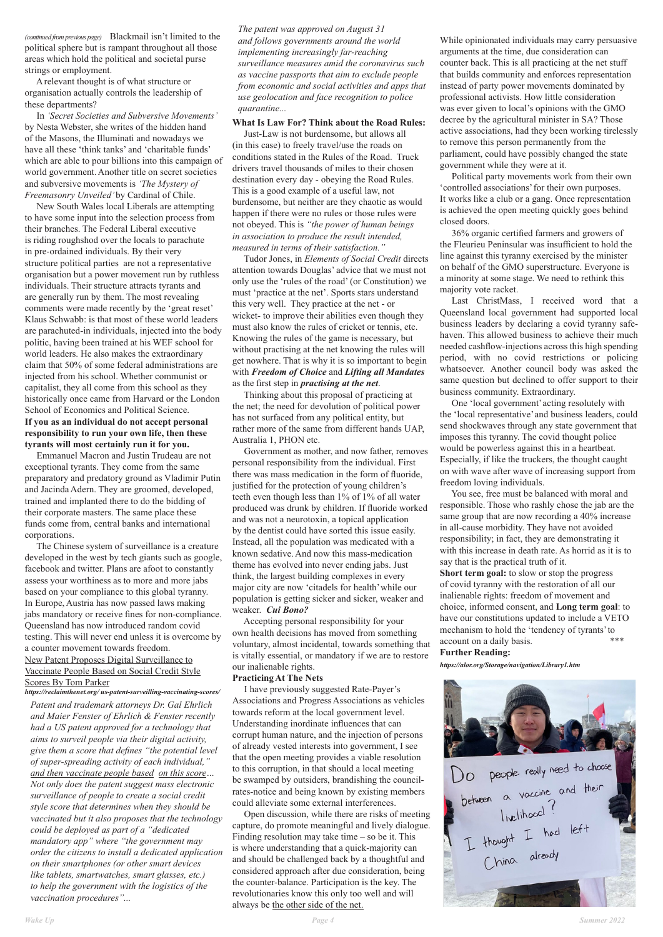*(continued from previous page)* Blackmail isn't limited to the political sphere but is rampant throughout all those areas which hold the political and societal purse strings or employment.

 A relevant thought is of what structure or organisation actually controls the leadership of these departments?

 In *'Secret Societies and Subversive Movements'*  by Nesta Webster, she writes of the hidden hand of the Masons, the Illuminati and nowadays we have all these 'think tanks' and 'charitable funds' which are able to pour billions into this campaign of world government. Another title on secret societies and subversive movements is *'The Mystery of Freemasonry Unveiled'* by Cardinal of Chile.

New South Wales local Liberals are attempting to have some input into the selection process from their branches. The Federal Liberal executive is riding roughshod over the locals to parachute in pre-ordained individuals. By their very structure political parties are not a representative organisation but a power movement run by ruthless individuals. Their structure attracts tyrants and are generally run by them. The most revealing comments were made recently by the 'great reset' Klaus Schwabb: is that most of these world leaders are parachuted-in individuals, injected into the body politic, having been trained at his WEF school for world leaders. He also makes the extraordinary claim that 50% of some federal administrations are injected from his school. Whether communist or capitalist, they all come from this school as they historically once came from Harvard or the London School of Economics and Political Science. **If you as an individual do not accept personal responsibility to run your own life, then these tyrants will most certainly run it for you.**

Emmanuel Macron and Justin Trudeau are not exceptional tyrants. They come from the same preparatory and predatory ground as Vladimir Putin and Jacinda Adern. They are groomed, developed, trained and implanted there to do the bidding of their corporate masters. The same place these funds come from, central banks and international corporations.

The Chinese system of surveillance is a creature developed in the west by tech giants such as google, facebook and twitter. Plans are afoot to constantly assess your worthiness as to more and more jabs based on your compliance to this global tyranny. In Europe, Austria has now passed laws making jabs mandatory or receive fines for non-compliance. Queensland has now introduced random covid testing. This will never end unless it is overcome by a counter movement towards freedom. New Patent Proposes Digital Surveillance to Vaccinate People Based on Social Credit Style Scores By Tom Parker

*https://reclaimthenet.org/ us-patent-surveilling-vaccinating-scores/ Patent and trademark attorneys Dr. Gal Ehrlich* 

I have previously suggested Rate-Payer's Associations and Progress Associations as vehicles towards reform at the local government level. Understanding inordinate influences that can corrupt human nature, and the injection of persons of already vested interests into government, I see that the open meeting provides a viable resolution to this corruption, in that should a local meeting be swamped by outsiders, brandishing the councilrates-notice and being known by existing members could alleviate some external interferences. Open discussion, while there are risks of meeting capture, do promote meaningful and lively dialogue. Finding resolution may take time – so be it. This is where understanding that a quick-majority can and should be challenged back by a thoughtful and considered approach after due consideration, being the counter-balance. Participation is the key. The revolutionaries know this only too well and will always be the other side of the net.

*and Maier Fenster of Ehrlich & Fenster recently had a US patent approved for a technology that aims to surveil people via their digital activity, give them a score that defines "the potential level of super-spreading activity of each individual," and then vaccinate people based on this score… Not only does the patent suggest mass electronic surveillance of people to create a social credit style score that determines when they should be vaccinated but it also proposes that the technology could be deployed as part of a "dedicated mandatory app" where "the government may order the citizens to install a dedicated application on their smartphones (or other smart devices like tablets, smartwatches, smart glasses, etc.) to help the government with the logistics of the vaccination procedures"...*

Do people really need to choose<br>between a vaccine and their<br>livelihood?<br>I thought I had left<br>China already

*The patent was approved on August 31 and follows governments around the world implementing increasingly far-reaching surveillance measures amid the coronavirus such as vaccine passports that aim to exclude people from economic and social activities and apps that use geolocation and face recognition to police quarantine...*

#### **What Is Law For? Think about the Road Rules:**

Just-Law is not burdensome, but allows all (in this case) to freely travel/use the roads on conditions stated in the Rules of the Road. Truck drivers travel thousands of miles to their chosen destination every day - obeying the Road Rules. This is a good example of a useful law, not burdensome, but neither are they chaotic as would happen if there were no rules or those rules were not obeyed. This is *"the power of human beings in association to produce the result intended, measured in terms of their satisfaction."*

> **Short term goal:** to slow or stop the progress of covid tyranny with the restoration of all our inalienable rights: freedom of movement and choice, informed consent, and **Long term goal**: to have our constitutions updated to include a VETO mechanism to hold the 'tendency of tyrants'to account on a daily basis.  $****$

 Tudor Jones, in *Elements of Social Credit* directs attention towards Douglas' advice that we must not only use the 'rules of the road' (or Constitution) we must 'practice at the net'. Sports stars understand this very well. They practice at the net - or wicket- to improve their abilities even though they must also know the rules of cricket or tennis, etc. Knowing the rules of the game is necessary, but without practising at the net knowing the rules will get nowhere. That is why it is so important to begin with *Freedom of Choice* and *Lifting all Mandates*  as the first step in *practising at the net*.

 Thinking about this proposal of practicing at the net; the need for devolution of political power has not surfaced from any political entity, but rather more of the same from different hands UAP, Australia 1, PHON etc.

Government as mother, and now father, removes personal responsibility from the individual. First there was mass medication in the form of fluoride, justified for the protection of young children's teeth even though less than 1% of 1% of all water produced was drunk by children. If fluoride worked and was not a neurotoxin, a topical application by the dentist could have sorted this issue easily. Instead, all the population was medicated with a known sedative. And now this mass-medication theme has evolved into never ending jabs. Just think, the largest building complexes in every major city are now 'citadels for health' while our population is getting sicker and sicker, weaker and weaker. *Cui Bono?*

 Accepting personal responsibility for your own health decisions has moved from something voluntary, almost incidental, towards something that is vitally essential, or mandatory if we are to restore our inalienable rights.

#### **Practicing At The Nets**

While opinionated individuals may carry persuasive arguments at the time, due consideration can counter back. This is all practicing at the net stuff that builds community and enforces representation instead of party power movements dominated by professional activists. How little consideration was ever given to local's opinions with the GMO decree by the agricultural minister in SA? Those active associations, had they been working tirelessly to remove this person permanently from the parliament, could have possibly changed the state government while they were at it.

Political party movements work from their own 'controlled associations'for their own purposes. It works like a club or a gang. Once representation is achieved the open meeting quickly goes behind closed doors.

36% organic certified farmers and growers of the Fleurieu Peninsular was insufficient to hold the line against this tyranny exercised by the minister on behalf of the GMO superstructure. Everyone is a minority at some stage. We need to rethink this majority vote racket.

Last ChristMass, I received word that a Queensland local government had supported local business leaders by declaring a covid tyranny safehaven. This allowed business to achieve their much needed cashflow-injections across this high spending period, with no covid restrictions or policing whatsoever. Another council body was asked the same question but declined to offer support to their business community. Extraordinary.

One 'local government'acting resolutely with the 'local representative'and business leaders, could send shockwaves through any state government that imposes this tyranny. The covid thought police would be powerless against this in a heartbeat. Especially, if like the truckers, the thought caught on with wave after wave of increasing support from freedom loving individuals.

You see, free must be balanced with moral and responsible. Those who rashly chose the jab are the same group that are now recording a 40% increase in all-cause morbidity. They have not avoided responsibility; in fact, they are demonstrating it with this increase in death rate. As horrid as it is to say that is the practical truth of it.

#### **Further Reading:**

*https://alor.org/Storage/navigation/Library1.htm*

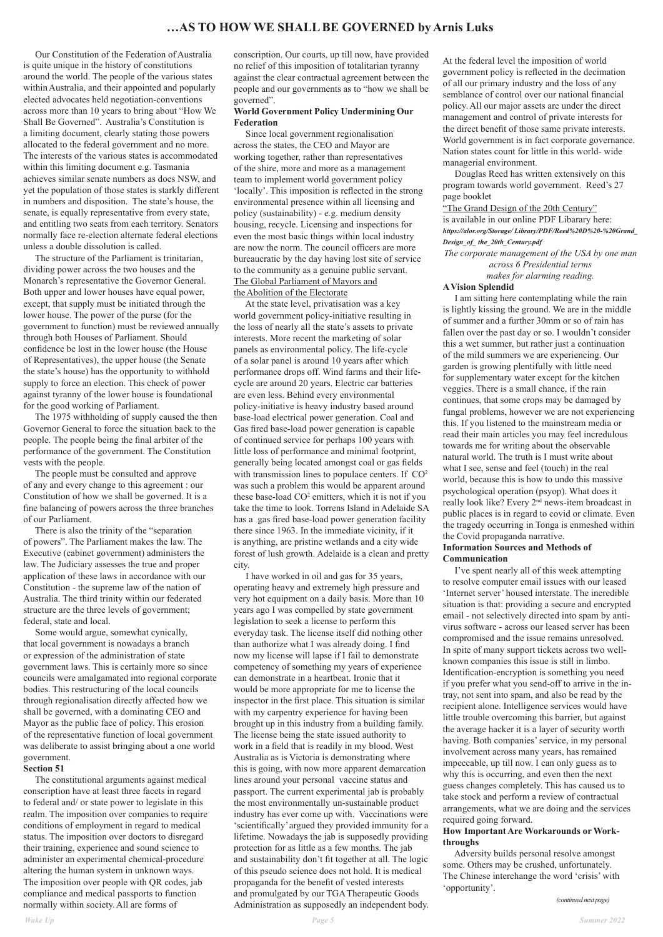Our Constitution of the Federation of Australia is quite unique in the history of constitutions around the world. The people of the various states within Australia, and their appointed and popularly elected advocates held negotiation-conventions across more than 10 years to bring about "How We Shall Be Governed". Australia's Constitution is a limiting document, clearly stating those powers allocated to the federal government and no more. The interests of the various states is accommodated within this limiting document e.g. Tasmania achieves similar senate numbers as does NSW, and yet the population of those states is starkly different in numbers and disposition. The state's house, the senate, is equally representative from every state, and entitling two seats from each territory. Senators normally face re-election alternate federal elections unless a double dissolution is called.

 The structure of the Parliament is trinitarian, dividing power across the two houses and the Monarch's representative the Governor General. Both upper and lower houses have equal power, except, that supply must be initiated through the lower house. The power of the purse (for the government to function) must be reviewed annually through both Houses of Parliament. Should confidence be lost in the lower house (the House of Representatives), the upper house (the Senate the state's house) has the opportunity to withhold supply to force an election. This check of power against tyranny of the lower house is foundational for the good working of Parliament.

 The 1975 withholding of supply caused the then Governor General to force the situation back to the people. The people being the final arbiter of the performance of the government. The Constitution vests with the people.

 Since local government regionalisation across the states, the CEO and Mayor are working together, rather than representatives of the shire, more and more as a management team to implement world government policy 'locally'. This imposition is reflected in the strong environmental presence within all licensing and policy (sustainability) - e.g. medium density housing, recycle. Licensing and inspections for even the most basic things within local industry are now the norm. The council officers are more bureaucratic by the day having lost site of service to the community as a genuine public servant. The Global Parliament of Mayors and the Abolition of the Electorate

 The people must be consulted and approve of any and every change to this agreement : our Constitution of how we shall be governed. It is a fine balancing of powers across the three branches of our Parliament.

 There is also the trinity of the "separation of powers". The Parliament makes the law. The Executive (cabinet government) administers the law. The Judiciary assesses the true and proper application of these laws in accordance with our Constitution - the supreme law of the nation of Australia. The third trinity within our federated structure are the three levels of government; federal, state and local.

 Some would argue, somewhat cynically, that local government is nowadays a branch or expression of the administration of state government laws. This is certainly more so since councils were amalgamated into regional corporate bodies. This restructuring of the local councils through regionalisation directly affected how we shall be governed, with a dominating CEO and Mayor as the public face of policy. This erosion of the representative function of local government was deliberate to assist bringing about a one world government.

# **Section 51**

 The constitutional arguments against medical conscription have at least three facets in regard to federal and/ or state power to legislate in this realm. The imposition over companies to require conditions of employment in regard to medical status. The imposition over doctors to disregard their training, experience and sound science to administer an experimental chemical-procedure altering the human system in unknown ways. The imposition over people with QR codes, jab compliance and medical passports to function normally within society. All are forms of

conscription. Our courts, up till now, have provided no relief of this imposition of totalitarian tyranny against the clear contractual agreement between the people and our governments as to "how we shall be governed".

### **World Government Policy Undermining Our Federation**

"The Grand Design of the 20th Century" is available in our online PDF Libarary here: *https://alor.org/Storage/ Library/PDF/Reed%20D%20-%20Grand\_ Design\_of\_ the\_20th\_Century.pdf*

 At the state level, privatisation was a key world government policy-initiative resulting in the loss of nearly all the state's assets to private interests. More recent the marketing of solar panels as environmental policy. The life-cycle of a solar panel is around 10 years after which performance drops off. Wind farms and their lifecycle are around 20 years. Electric car batteries are even less. Behind every environmental policy-initiative is heavy industry based around base-load electrical power generation. Coal and Gas fired base-load power generation is capable of continued service for perhaps 100 years with little loss of performance and minimal footprint, generally being located amongst coal or gas fields with transmission lines to populace centers. If CO<sup>2</sup> was such a problem this would be apparent around these base-load CO<sup>2</sup> emitters, which it is not if you take the time to look. Torrens Island in Adelaide SA has a gas fired base-load power generation facility there since 1963. In the immediate vicinity, if it is anything, are pristine wetlands and a city wide forest of lush growth. Adelaide is a clean and pretty city.

 I have worked in oil and gas for 35 years, operating heavy and extremely high pressure and very hot equipment on a daily basis. More than 10 years ago I was compelled by state government legislation to seek a license to perform this everyday task. The license itself did nothing other than authorize what I was already doing. I find now my license will lapse if I fail to demonstrate competency of something my years of experience can demonstrate in a heartbeat. Ironic that it would be more appropriate for me to license the inspector in the first place. This situation is similar with my carpentry experience for having been brought up in this industry from a building family. The license being the state issued authority to work in a field that is readily in my blood. West Australia as is Victoria is demonstrating where this is going, with now more apparent demarcation lines around your personal vaccine status and passport. The current experimental jab is probably the most environmentally un-sustainable product industry has ever come up with. Vaccinations were 'scientifically' argued they provided immunity for a lifetime. Nowadays the jab is supposedly providing protection for as little as a few months. The jab and sustainability don't fit together at all. The logic of this pseudo science does not hold. It is medical propaganda for the benefit of vested interests and promulgated by our TGA Therapeutic Goods Administration as supposedly an independent body. At the federal level the imposition of world government policy is reflected in the decimation of all our primary industry and the loss of any semblance of control over our national financial policy. All our major assets are under the direct management and control of private interests for the direct benefit of those same private interests. World government is in fact corporate governance. Nation states count for little in this world- wide managerial environment.

 Douglas Reed has written extensively on this program towards world government. Reed's 27 page booklet

*The corporate management of the USA by one man across 6 Presidential terms makes for alarming reading.* 

#### **A Vision Splendid**

 I am sitting here contemplating while the rain is lightly kissing the ground. We are in the middle of summer and a further 30mm or so of rain has fallen over the past day or so. I wouldn't consider this a wet summer, but rather just a continuation of the mild summers we are experiencing. Our garden is growing plentifully with little need for supplementary water except for the kitchen veggies. There is a small chance, if the rain continues, that some crops may be damaged by fungal problems, however we are not experiencing this. If you listened to the mainstream media or read their main articles you may feel incredulous towards me for writing about the observable natural world. The truth is I must write about what I see, sense and feel (touch) in the real world, because this is how to undo this massive psychological operation (psyop). What does it really look like? Every 2nd news-item broadcast in public places is in regard to covid or climate. Even the tragedy occurring in Tonga is enmeshed within the Covid propaganda narrative.

## **Information Sources and Methods of Communication**

 I've spent nearly all of this week attempting to resolve computer email issues with our leased 'Internet server' housed interstate. The incredible situation is that: providing a secure and encrypted email - not selectively directed into spam by antivirus software - across our leased server has been compromised and the issue remains unresolved. In spite of many support tickets across two wellknown companies this issue is still in limbo. Identification-encryption is something you need if you prefer what you send-off to arrive in the intray, not sent into spam, and also be read by the recipient alone. Intelligence services would have little trouble overcoming this barrier, but against the average hacker it is a layer of security worth having. Both companies' service, in my personal involvement across many years, has remained impeccable, up till now. I can only guess as to why this is occurring, and even then the next guess changes completely. This has caused us to take stock and perform a review of contractual arrangements, what we are doing and the services required going forward. **How Important Are Workarounds or Workthroughs** Adversity builds personal resolve amongst some. Others may be crushed, unfortunately. The Chinese interchange the word 'crisis' with 'opportunity'.

*(continued next page)*

## **…AS TO HOW WE SHALL BE GOVERNED by Arnis Luks**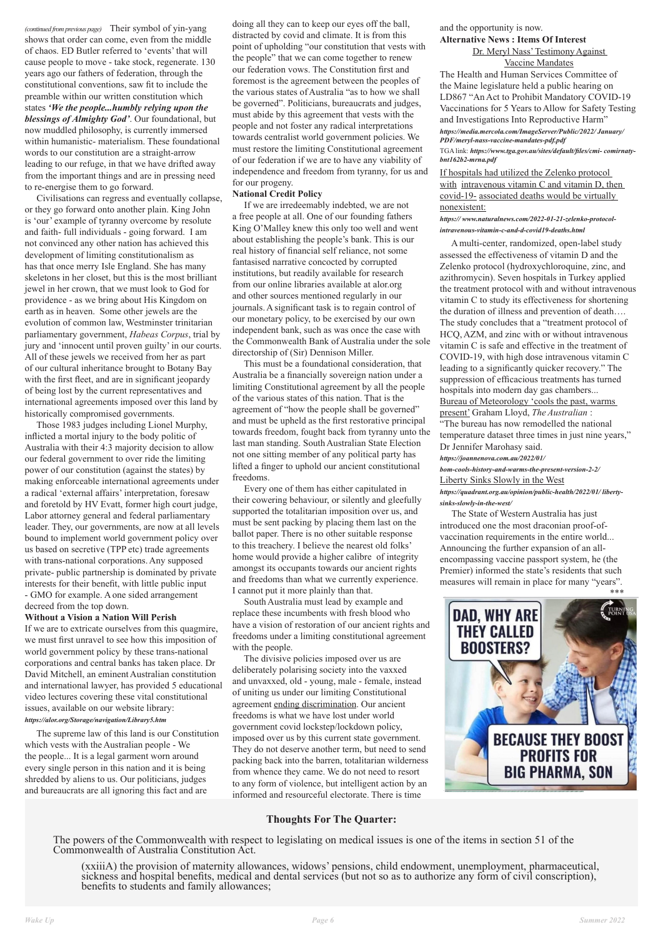*(continued from previous page)* Their symbol of yin-yang shows that order can come, even from the middle of chaos. ED Butler referred to 'events' that will cause people to move - take stock, regenerate. 130 years ago our fathers of federation, through the constitutional conventions, saw fit to include the preamble within our written constitution which states *'We the people...humbly relying upon the blessings of Almighty God'*. Our foundational, but now muddled philosophy, is currently immersed within humanistic- materialism. These foundational words to our constitution are a straight-arrow leading to our refuge, in that we have drifted away from the important things and are in pressing need to re-energise them to go forward.

 Civilisations can regress and eventually collapse, or they go forward onto another plain. King John is 'our' example of tyranny overcome by resolute and faith- full individuals - going forward. I am not convinced any other nation has achieved this development of limiting constitutionalism as has that once merry Isle England. She has many skeletons in her closet, but this is the most brilliant jewel in her crown, that we must look to God for providence - as we bring about His Kingdom on earth as in heaven. Some other jewels are the evolution of common law, Westminster trinitarian parliamentary government, *Habeas Corpus*, trial by jury and 'innocent until proven guilty' in our courts. All of these jewels we received from her as part of our cultural inheritance brought to Botany Bay with the first fleet, and are in significant jeopardy of being lost by the current representatives and international agreements imposed over this land by historically compromised governments.

 Those 1983 judges including Lionel Murphy, inflicted a mortal injury to the body politic of Australia with their 4:3 majority decision to allow our federal government to over ride the limiting power of our constitution (against the states) by making enforceable international agreements under a radical 'external affairs' interpretation, foresaw and foretold by HV Evatt, former high court judge, Labor attorney general and federal parliamentary leader. They, our governments, are now at all levels bound to implement world government policy over us based on secretive (TPP etc) trade agreements with trans-national corporations. Any supposed private- public partnership is dominated by private interests for their benefit, with little public input - GMO for example. A one sided arrangement decreed from the top down.

#### **Without a Vision a Nation Will Perish**

If we are to extricate ourselves from this quagmire, we must first unravel to see how this imposition of world government policy by these trans-national corporations and central banks has taken place. Dr David Mitchell, an eminent Australian constitution and international lawyer, has provided 5 educational video lectures covering these vital constitutional issues, available on our website library: *https://alor.org/Storage/navigation/Library5.htm*

 The supreme law of this land is our Constitution which vests with the Australian people - We the people... It is a legal garment worn around every single person in this nation and it is being shredded by aliens to us. Our politicians, judges and bureaucrats are all ignoring this fact and are

doing all they can to keep our eyes off the ball, distracted by covid and climate. It is from this point of upholding "our constitution that vests with the people" that we can come together to renew our federation vows. The Constitution first and foremost is the agreement between the peoples of the various states of Australia "as to how we shall be governed". Politicians, bureaucrats and judges, must abide by this agreement that vests with the people and not foster any radical interpretations towards centralist world government policies. We must restore the limiting Constitutional agreement of our federation if we are to have any viability of independence and freedom from tyranny, for us and for our progeny.

#### **National Credit Policy**

 If we are irredeemably indebted, we are not a free people at all. One of our founding fathers King O'Malley knew this only too well and went about establishing the people's bank. This is our real history of financial self reliance, not some fantasised narrative concocted by corrupted institutions, but readily available for research from our online libraries available at alor.org and other sources mentioned regularly in our journals. A significant task is to regain control of our monetary policy, to be exercised by our own independent bank, such as was once the case with the Commonwealth Bank of Australia under the sole directorship of (Sir) Dennison Miller.

 This must be a foundational consideration, that Australia be a financially sovereign nation under a limiting Constitutional agreement by all the people of the various states of this nation. That is the agreement of "how the people shall be governed" and must be upheld as the first restorative principal towards freedom, fought back from tyranny unto the last man standing. South Australian State Election not one sitting member of any political party has lifted a finger to uphold our ancient constitutional freedoms.

 Every one of them has either capitulated in their cowering behaviour, or silently and gleefully supported the totalitarian imposition over us, and must be sent packing by placing them last on the ballot paper. There is no other suitable response to this treachery. I believe the nearest old folks' home would provide a higher calibre of integrity amongst its occupants towards our ancient rights and freedoms than what we currently experience. I cannot put it more plainly than that.

 South Australia must lead by example and replace these incumbents with fresh blood who have a vision of restoration of our ancient rights and freedoms under a limiting constitutional agreement with the people.

 The divisive policies imposed over us are deliberately polarising society into the vaxxed and unvaxxed, old - young, male - female, instead of uniting us under our limiting Constitutional agreement ending discrimination. Our ancient freedoms is what we have lost under world government covid lockstep/lockdown policy, imposed over us by this current state government. They do not deserve another term, but need to send packing back into the barren, totalitarian wilderness from whence they came. We do not need to resort to any form of violence, but intelligent action by an informed and resourceful electorate. There is time

## and the opportunity is now. **Alternative News : Items Of Interest** Dr. Meryl Nass'TestimonyAgainst

## Vaccine Mandates

The Health and Human Services Committee of the Maine legislature held a public hearing on LD867 "An Act to Prohibit Mandatory COVID-19 Vaccinations for 5 Years to Allow for Safety Testing and Investigations Into Reproductive Harm" *https://media.mercola.com/ImageServer/Public/2022/ January/ PDF/meryl-nass-vaccine-mandates-pdf.pdf* 

TGA link: *https://www.tga.gov.au/sites/default/files/cmi- comirnatybnt162b2-mrna.pdf*

If hospitals had utilized the Zelenko protocol with intravenous vitamin C and vitamin D, then covid-19- associated deaths would be virtually nonexistent:

#### *https:// www.naturalnews.com/2022-01-21-zelenko-protocolintravenous-vitamin-c-and-d-covid19-deaths.html*

 A multi-center, randomized, open-label study assessed the effectiveness of vitamin D and the Zelenko protocol (hydroxychloroquine, zinc, and azithromycin). Seven hospitals in Turkey applied the treatment protocol with and without intravenous vitamin C to study its effectiveness for shortening the duration of illness and prevention of death…. The study concludes that a "treatment protocol of HCQ, AZM, and zinc with or without intravenous vitamin C is safe and effective in the treatment of COVID-19, with high dose intravenous vitamin C leading to a significantly quicker recovery." The suppression of efficacious treatments has turned hospitals into modern day gas chambers... Bureau of Meteorology 'cools the past, warms present' Graham Lloyd, *The Australian* : "The bureau has now remodelled the national temperature dataset three times in just nine years," Dr Jennifer Marohasy said. *https://joannenova.com.au/2022/01/*

*bom-cools-history-and-warms-the-present-version-2-2/* Liberty Sinks Slowly in the West

*https://quadrant.org.au/opinion/public-health/2022/01/ libertysinks-slowly-in-the-west/*

 The State of Western Australia has just introduced one the most draconian proof-ofvaccination requirements in the entire world... Announcing the further expansion of an allencompassing vaccine passport system, he (the Premier) informed the state's residents that such measures will remain in place for many "years".



## **Thoughts For The Quarter:**

The powers of the Commonwealth with respect to legislating on medical issues is one of the items in section 51 of the Commonwealth of Australia Constitution Act.

(xxiiiA) the provision of maternity allowances, widows' pensions, child endowment, unemployment, pharmaceutical, sickness and hospital benefits, medical and dental services (but not so as to authorize any form of civil conscription), benefits to students and family allowances;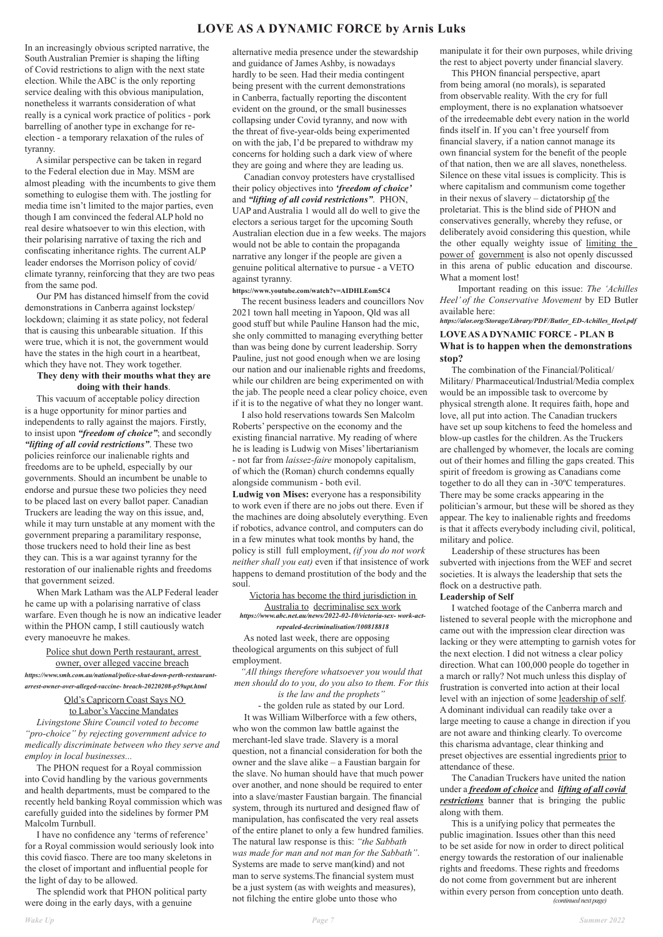## **LOVE AS A DYNAMIC FORCE by Arnis Luks**

In an increasingly obvious scripted narrative, the South Australian Premier is shaping the lifting of Covid restrictions to align with the next state election. While the ABC is the only reporting service dealing with this obvious manipulation, nonetheless it warrants consideration of what really is a cynical work practice of politics - pork barrelling of another type in exchange for reelection - a temporary relaxation of the rules of tyranny.

A similar perspective can be taken in regard to the Federal election due in May. MSM are almost pleading with the incumbents to give them something to eulogise them with. The jostling for media time isn't limited to the major parties, even though I am convinced the federal ALP hold no real desire whatsoever to win this election, with their polarising narrative of taxing the rich and confiscating inheritance rights. The current ALP leader endorses the Morrison policy of covid/ climate tyranny, reinforcing that they are two peas from the same pod.

Our PM has distanced himself from the covid demonstrations in Canberra against lockstep/ lockdown; claiming it as state policy, not federal that is causing this unbearable situation. If this were true, which it is not, the government would have the states in the high court in a heartbeat, which they have not. They work together.

## **They deny with their mouths what they are doing with their hands**.

This vacuum of acceptable policy direction is a huge opportunity for minor parties and independents to rally against the majors. Firstly, to insist upon *"freedom of choice"*; and secondly *"lifting of all covid restrictions"*. These two policies reinforce our inalienable rights and freedoms are to be upheld, especially by our governments. Should an incumbent be unable to endorse and pursue these two policies they need to be placed last on every ballot paper. Canadian Truckers are leading the way on this issue, and, while it may turn unstable at any moment with the government preparing a paramilitary response, those truckers need to hold their line as best they can. This is a war against tyranny for the restoration of our inalienable rights and freedoms that government seized.

When Mark Latham was the ALP Federal leader he came up with a polarising narrative of class warfare. Even though he is now an indicative leader within the PHON camp, I still cautiously watch every manoeuvre he makes.

Police shut down Perth restaurant, arrest

owner, over alleged vaccine breach *https://www.smh.com.au/national/police-shut-down-perth-restaurantarrest-owner-over-alleged-vaccine- breach-20220208-p59upt.html*

## Qld's Capricorn Coast Says NO

#### to Labor's Vaccine Mandates

 *Livingstone Shire Council voted to become "pro-choice" by rejecting government advice to medically discriminate between who they serve and employ in local businesses...*

The PHON request for a Royal commission into Covid handling by the various governments and health departments, must be compared to the recently held banking Royal commission which was carefully guided into the sidelines by former PM Malcolm Turnbull.

 I have no confidence any 'terms of reference' for a Royal commission would seriously look into this covid fiasco. There are too many skeletons in the closet of important and influential people for the light of day to be allowed.

The splendid work that PHON political party were doing in the early days, with a genuine

alternative media presence under the stewardship and guidance of James Ashby, is nowadays hardly to be seen. Had their media contingent being present with the current demonstrations in Canberra, factually reporting the discontent evident on the ground, or the small businesses collapsing under Covid tyranny, and now with the threat of five-year-olds being experimented on with the jab, I'd be prepared to withdraw my concerns for holding such a dark view of where they are going and where they are leading us.

Canadian convoy protesters have crystallised their policy objectives into *'freedom of choice'*  and *"lifting of all covid restrictions"*. PHON, UAP and Australia 1 would all do well to give the electors a serious target for the upcoming South Australian election due in a few weeks. The majors would not be able to contain the propaganda narrative any longer if the people are given a genuine political alternative to pursue - a VETO against tyranny.

## **https://www.youtube.com/watch?v=AIDHLEom5C4**

The recent business leaders and councillors Nov 2021 town hall meeting in Yapoon, Qld was all good stuff but while Pauline Hanson had the mic, she only committed to managing everything better than was being done by current leadership. Sorry Pauline, just not good enough when we are losing our nation and our inalienable rights and freedoms, while our children are being experimented on with the jab. The people need a clear policy choice, even if it is to the negative of what they no longer want.

I also hold reservations towards Sen Malcolm Roberts' perspective on the economy and the existing financial narrative. My reading of where he is leading is Ludwig von Mises' libertarianism - not far from *laissez-faire* monopoly capitalism, of which the (Roman) church condemns equally alongside communism - both evil.

**Ludwig von Mises:** everyone has a responsibility to work even if there are no jobs out there. Even if the machines are doing absolutely everything. Even if robotics, advance control, and computers can do in a few minutes what took months by hand, the policy is still full employment, *(if you do not work neither shall you eat)* even if that insistence of work happens to demand prostitution of the body and the soul.

Victoria has become the third jurisdiction in Australia to decriminalise sex work *https://www.abc.net.au/news/2022-02-10/victoria-sex- work-actrepealed-decriminalisation/100818818*

As noted last week, there are opposing theological arguments on this subject of full employment.

*"All things therefore whatsoever you would that men should do to you, do you also to them. For this* 

*is the law and the prophets"*  - the golden rule as stated by our Lord. It was William Wilberforce with a few others, who won the common law battle against the merchant-led slave trade. Slavery is a moral question, not a financial consideration for both the owner and the slave alike – a Faustian bargain for the slave. No human should have that much power over another, and none should be required to enter into a slave/master Faustian bargain. The financial system, through its nurtured and designed flaw of manipulation, has confiscated the very real assets of the entire planet to only a few hundred families. The natural law response is this: *"the Sabbath was made for man and not man for the Sabbath"*. Systems are made to serve man(kind) and not man to serve systems.The financial system must be a just system (as with weights and measures), not filching the entire globe unto those who

manipulate it for their own purposes, while driving the rest to abject poverty under financial slavery.

This PHON financial perspective, apart from being amoral (no morals), is separated from observable reality. With the cry for full employment, there is no explanation whatsoever of the irredeemable debt every nation in the world finds itself in. If you can't free yourself from financial slavery, if a nation cannot manage its own financial system for the benefit of the people of that nation, then we are all slaves, nonetheless. Silence on these vital issues is complicity. This is where capitalism and communism come together in their nexus of slavery – dictatorship of the proletariat. This is the blind side of PHON and conservatives generally, whereby they refuse, or deliberately avoid considering this question, while the other equally weighty issue of limiting the power of government is also not openly discussed in this arena of public education and discourse. What a moment lost!

 Important reading on this issue: *The 'Achilles Heel' of the Conservative Movement* by ED Butler available here:

*https://alor.org/Storage/Library/PDF/Butler\_ED-Achilles\_Heel.pdf*

## **LOVE AS A DYNAMIC FORCE - PLAN B What is to happen when the demonstrations stop?**

The combination of the Financial/Political/ Military/ Pharmaceutical/Industrial/Media complex would be an impossible task to overcome by physical strength alone. It requires faith, hope and love, all put into action. The Canadian truckers have set up soup kitchens to feed the homeless and blow-up castles for the children. As the Truckers are challenged by whomever, the locals are coming out of their homes and filling the gaps created. This spirit of freedom is growing as Canadians come together to do all they can in -30ºC temperatures. There may be some cracks appearing in the politician's armour, but these will be shored as they appear. The key to inalienable rights and freedoms is that it affects everybody including civil, political, military and police.

 Leadership of these structures has been subverted with injections from the WEF and secret societies. It is always the leadership that sets the flock on a destructive path.

#### **Leadership of Self**

I watched footage of the Canberra march and listened to several people with the microphone and came out with the impression clear direction was lacking or they were attempting to garnish votes for the next election. I did not witness a clear policy direction. What can 100,000 people do together in a march or rally? Not much unless this display of frustration is converted into action at their local level with an injection of some leadership of self. Adominant individual can readily take over a large meeting to cause a change in direction if you are not aware and thinking clearly. To overcome this charisma advantage, clear thinking and preset objectives are essential ingredients prior to attendance of these. The Canadian Truckers have united the nation under a *freedom of choice* and *lifting of all covid restrictions* banner that is bringing the public along with them. This is a unifying policy that permeates the public imagination. Issues other than this need to be set aside for now in order to direct political energy towards the restoration of our inalienable rights and freedoms. These rights and freedoms do not come from government but are inherent within every person from conception unto death.  *(continued next page)*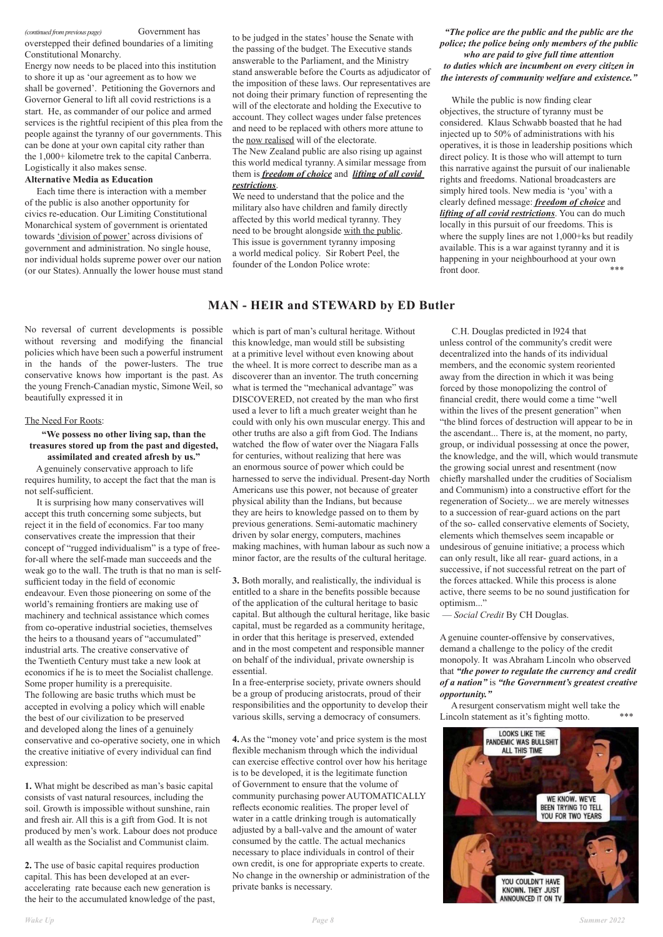*(continued from previous page)* Government has

overstepped their defined boundaries of a limiting

Constitutional Monarchy.

Energy now needs to be placed into this institution to shore it up as 'our agreement as to how we shall be governed'. Petitioning the Governors and Governor General to lift all covid restrictions is a start. He, as commander of our police and armed services is the rightful recipient of this plea from the people against the tyranny of our governments. This can be done at your own capital city rather than the 1,000+ kilometre trek to the capital Canberra. Logistically it also makes sense.

### **Alternative Media as Education**

 Each time there is interaction with a member of the public is also another opportunity for civics re-education. Our Limiting Constitutional Monarchical system of government is orientated towards 'division of power' across divisions of government and administration. No single house, nor individual holds supreme power over our nation (or our States). Annually the lower house must stand

While the public is now finding clear objectives, the structure of tyranny must be considered. Klaus Schwabb boasted that he had injected up to 50% of administrations with his operatives, it is those in leadership positions which direct policy. It is those who will attempt to turn this narrative against the pursuit of our inalienable rights and freedoms. National broadcasters are simply hired tools. New media is 'you' with a clearly defined message: *freedom of choice* and *lifting of all covid restrictions*. You can do much locally in this pursuit of our freedoms. This is where the supply lines are not 1,000+ks but readily available. This is a war against tyranny and it is happening in your neighbourhood at your own front door.  $***$ 

to be judged in the states' house the Senate with the passing of the budget. The Executive stands answerable to the Parliament, and the Ministry stand answerable before the Courts as adjudicator of the imposition of these laws. Our representatives are not doing their primary function of representing the will of the electorate and holding the Executive to account. They collect wages under false pretences and need to be replaced with others more attune to the now realised will of the electorate.

The New Zealand public are also rising up against this world medical tyranny. A similar message from them is *freedom of choice* and *lifting of all covid restrictions*.

We need to understand that the police and the military also have children and family directly affected by this world medical tyranny. They need to be brought alongside with the public. This issue is government tyranny imposing a world medical policy. Sir Robert Peel, the founder of the London Police wrote:

## *"The police are the public and the public are the police; the police being only members of the public who are paid to give full time attention to duties which are incumbent on every citizen in the interests of community welfare and existence."*

No reversal of current developments is possible without reversing and modifying the financial policies which have been such a powerful instrument in the hands of the power-lusters. The true conservative knows how important is the past. As the young French-Canadian mystic, Simone Weil, so beautifully expressed it in

## The Need For Roots:

## **"We possess no other living sap, than the treasures stored up from the past and digested, assimilated and created afresh by us."**

 A genuinely conservative approach to life requires humility, to accept the fact that the man is not self-sufficient.

 It is surprising how many conservatives will accept this truth concerning some subjects, but reject it in the field of economics. Far too many conservatives create the impression that their concept of "rugged individualism" is a type of freefor-all where the self-made man succeeds and the weak go to the wall. The truth is that no man is selfsufficient today in the field of economic endeavour. Even those pioneering on some of the world's remaining frontiers are making use of machinery and technical assistance which comes from co-operative industrial societies, themselves the heirs to a thousand years of "accumulated" industrial arts. The creative conservative of the Twentieth Century must take a new look at economics if he is to meet the Socialist challenge. Some proper humility is a prerequisite. The following are basic truths which must be accepted in evolving a policy which will enable the best of our civilization to be preserved and developed along the lines of a genuinely conservative and co-operative society, one in which the creative initiative of every individual can find expression:

**1.** What might be described as man's basic capital consists of vast natural resources, including the soil. Growth is impossible without sunshine, rain and fresh air. All this is a gift from God. It is not produced by men's work. Labour does not produce all wealth as the Socialist and Communist claim.

**2.** The use of basic capital requires production capital. This has been developed at an everaccelerating rate because each new generation is the heir to the accumulated knowledge of the past, which is part of man's cultural heritage. Without this knowledge, man would still be subsisting at a primitive level without even knowing about the wheel. It is more correct to describe man as a discoverer than an inventor. The truth concerning what is termed the "mechanical advantage" was DISCOVERED, not created by the man who first used a lever to lift a much greater weight than he could with only his own muscular energy. This and other truths are also a gift from God. The Indians watched the flow of water over the Niagara Falls for centuries, without realizing that here was an enormous source of power which could be harnessed to serve the individual. Present-day North Americans use this power, not because of greater physical ability than the Indians, but because they are heirs to knowledge passed on to them by previous generations. Semi-automatic machinery driven by solar energy, computers, machines making machines, with human labour as such now a minor factor, are the results of the cultural heritage.

**3.** Both morally, and realistically, the individual is entitled to a share in the benefits possible because of the application of the cultural heritage to basic capital. But although the cultural heritage, like basic capital, must be regarded as a community heritage, in order that this heritage is preserved, extended and in the most competent and responsible manner on behalf of the individual, private ownership is essential.

In a free-enterprise society, private owners should be a group of producing aristocrats, proud of their responsibilities and the opportunity to develop their various skills, serving a democracy of consumers.

**4.** As the "money vote' and price system is the most flexible mechanism through which the individual can exercise effective control over how his heritage is to be developed, it is the legitimate function of Government to ensure that the volume of community purchasing power AUTOMATICALLY reflects economic realities. The proper level of water in a cattle drinking trough is automatically adjusted by a ball-valve and the amount of water consumed by the cattle. The actual mechanics necessary to place individuals in control of their own credit, is one for appropriate experts to create. No change in the ownership or administration of the private banks is necessary.

Lincoln statement as it's fighting motto. \*\*\*



 C.H. Douglas predicted in l924 that unless control of the community's credit were decentralized into the hands of its individual members, and the economic system reoriented away from the direction in which it was being forced by those monopolizing the control of financial credit, there would come a time "well within the lives of the present generation" when "the blind forces of destruction will appear to be in the ascendant... There is, at the moment, no party, group, or individual possessing at once the power, the knowledge, and the will, which would transmute the growing social unrest and resentment (now chiefly marshalled under the crudities of Socialism and Communism) into a constructive effort for the regeneration of Society... we are merely witnesses to a succession of rear-guard actions on the part of the so- called conservative elements of Society, elements which themselves seem incapable or undesirous of genuine initiative; a process which can only result, like all rear- guard actions, in a successive, if not successful retreat on the part of the forces attacked. While this process is alone active, there seems to be no sound justification for optimism..."

— *Social Credit* By CH Douglas.

A genuine counter-offensive by conservatives, demand a challenge to the policy of the credit monopoly. It was Abraham Lincoln who observed that *"the power to regulate the currency and credit of a nation"* is *"the Government's greatest creative opportunity."*

A resurgent conservatism might well take the

## **MAN - HEIR and STEWARD by ED Butler**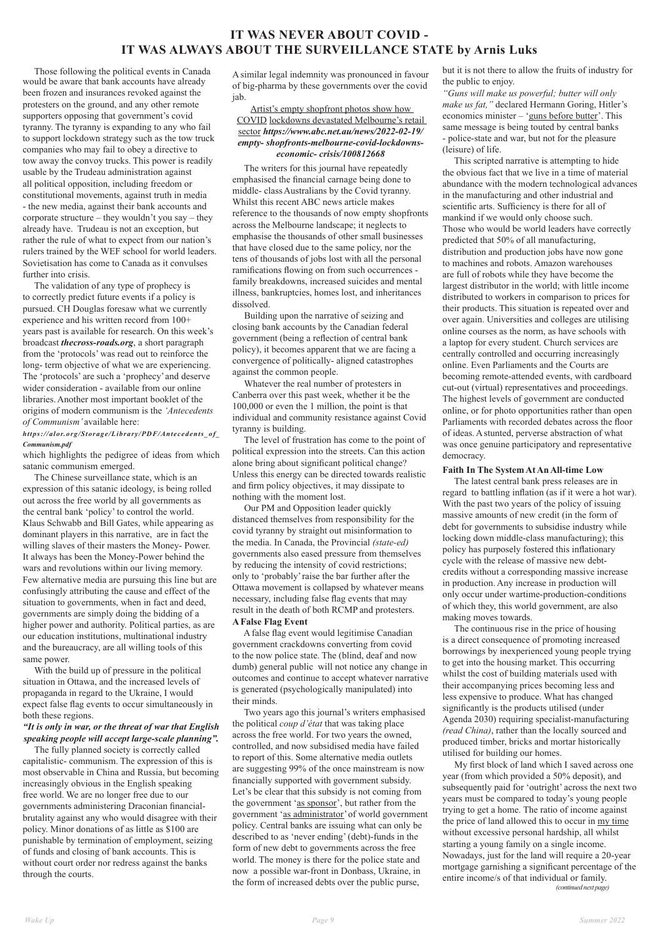Those following the political events in Canada would be aware that bank accounts have already been frozen and insurances revoked against the protesters on the ground, and any other remote supporters opposing that government's covid tyranny. The tyranny is expanding to any who fail to support lockdown strategy such as the tow truck companies who may fail to obey a directive to tow away the convoy trucks. This power is readily usable by the Trudeau administration against all political opposition, including freedom or constitutional movements, against truth in media - the new media, against their bank accounts and corporate structure – they wouldn't you say – they already have. Trudeau is not an exception, but rather the rule of what to expect from our nation's rulers trained by the WEF school for world leaders. Sovietisation has come to Canada as it convulses further into crisis.

 The validation of any type of prophecy is to correctly predict future events if a policy is pursued. CH Douglas foresaw what we currently experience and his written record from 100+ years past is available for research. On this week's broadcast *thecross-roads.org*, a short paragraph from the 'protocols' was read out to reinforce the long- term objective of what we are experiencing. The 'protocols' are such a 'prophecy' and deserve wider consideration - available from our online libraries. Another most important booklet of the origins of modern communism is the *'Antecedents of Communism'* available here:

*https://alor.org/Storage/Library/PDF/Antecedents\_of\_ Communism.pdf* 

which highlights the pedigree of ideas from which satanic communism emerged.

 The Chinese surveillance state, which is an expression of this satanic ideology, is being rolled out across the free world by all governments as the central bank 'policy' to control the world. Klaus Schwabb and Bill Gates, while appearing as dominant players in this narrative, are in fact the willing slaves of their masters the Money- Power. It always has been the Money-Power behind the wars and revolutions within our living memory. Few alternative media are pursuing this line but are confusingly attributing the cause and effect of the situation to governments, when in fact and deed, governments are simply doing the bidding of a higher power and authority. Political parties, as are our education institutions, multinational industry and the bureaucracy, are all willing tools of this same power.

 With the build up of pressure in the political situation in Ottawa, and the increased levels of propaganda in regard to the Ukraine, I would expect false flag events to occur simultaneously in both these regions. *"It is only in war, or the threat of war that English speaking people will accept large-scale planning".* The fully planned society is correctly called capitalistic- communism. The expression of this is most observable in China and Russia, but becoming increasingly obvious in the English speaking free world. We are no longer free due to our governments administering Draconian financialbrutality against any who would disagree with their policy. Minor donations of as little as \$100 are punishable by termination of employment, seizing of funds and closing of bank accounts. This is without court order nor redress against the banks through the courts.

A similar legal indemnity was pronounced in favour of big-pharma by these governments over the covid jab.

## Artist's empty shopfront photos show how COVID lockdowns devastated Melbourne's retail sector *https://www.abc.net.au/news/2022-02-19/ empty- shopfronts-melbourne-covid-lockdownseconomic- crisis/100812668*

 The writers for this journal have repeatedly emphasised the financial carnage being done to middle- class Australians by the Covid tyranny. Whilst this recent ABC news article makes reference to the thousands of now empty shopfronts across the Melbourne landscape; it neglects to emphasise the thousands of other small businesses that have closed due to the same policy, nor the tens of thousands of jobs lost with all the personal ramifications flowing on from such occurrences family breakdowns, increased suicides and mental illness, bankruptcies, homes lost, and inheritances dissolved.

 Building upon the narrative of seizing and closing bank accounts by the Canadian federal government (being a reflection of central bank policy), it becomes apparent that we are facing a convergence of politically- aligned catastrophes against the common people.

 Whatever the real number of protesters in Canberra over this past week, whether it be the 100,000 or even the 1 million, the point is that individual and community resistance against Covid tyranny is building.

 The level of frustration has come to the point of political expression into the streets. Can this action alone bring about significant political change? Unless this energy can be directed towards realistic and firm policy objectives, it may dissipate to nothing with the moment lost.

 Our PM and Opposition leader quickly distanced themselves from responsibility for the covid tyranny by straight out misinformation to the media. In Canada, the Provincial *(state-ed)*  governments also eased pressure from themselves by reducing the intensity of covid restrictions; only to 'probably' raise the bar further after the Ottawa movement is collapsed by whatever means necessary, including false flag events that may result in the death of both RCMP and protesters. **A False Flag Event**

 A false flag event would legitimise Canadian government crackdowns converting from covid to the now police state. The (blind, deaf and now dumb) general public will not notice any change in outcomes and continue to accept whatever narrative is generated (psychologically manipulated) into their minds.

 Two years ago this journal's writers emphasised the political *coup d'état* that was taking place across the free world. For two years the owned, controlled, and now subsidised media have failed to report of this. Some alternative media outlets are suggesting 99% of the once mainstream is now financially supported with government subsidy. Let's be clear that this subsidy is not coming from the government 'as sponsor', but rather from the government 'as administrator' of world government policy. Central banks are issuing what can only be described to as 'never ending' (debt)-funds in the form of new debt to governments across the free world. The money is there for the police state and now a possible war-front in Donbass, Ukraine, in the form of increased debts over the public purse,

but it is not there to allow the fruits of industry for the public to enjoy.

*"Guns will make us powerful; butter will only make us fat,"* declared Hermann Goring, Hitler's economics minister – 'guns before butter'. This same message is being touted by central banks - police-state and war, but not for the pleasure (leisure) of life.

 This scripted narrative is attempting to hide the obvious fact that we live in a time of material abundance with the modern technological advances in the manufacturing and other industrial and scientific arts. Sufficiency is there for all of mankind if we would only choose such. Those who would be world leaders have correctly predicted that 50% of all manufacturing, distribution and production jobs have now gone to machines and robots. Amazon warehouses are full of robots while they have become the largest distributor in the world; with little income distributed to workers in comparison to prices for their products. This situation is repeated over and over again. Universities and colleges are utilising online courses as the norm, as have schools with a laptop for every student. Church services are centrally controlled and occurring increasingly online. Even Parliaments and the Courts are becoming remote-attended events, with cardboard cut-out (virtual) representatives and proceedings. The highest levels of government are conducted online, or for photo opportunities rather than open Parliaments with recorded debates across the floor of ideas. A stunted, perverse abstraction of what was once genuine participatory and representative democracy.

### **Faith In The System At An All-time Low**

 The latest central bank press releases are in regard to battling inflation (as if it were a hot war). With the past two years of the policy of issuing massive amounts of new credit (in the form of debt for governments to subsidise industry while locking down middle-class manufacturing); this policy has purposely fostered this inflationary cycle with the release of massive new debtcredits without a corresponding massive increase in production. Any increase in production will only occur under wartime-production-conditions of which they, this world government, are also making moves towards.

 The continuous rise in the price of housing is a direct consequence of promoting increased borrowings by inexperienced young people trying to get into the housing market. This occurring whilst the cost of building materials used with their accompanying prices becoming less and less expensive to produce. What has changed significantly is the products utilised (under Agenda 2030) requiring specialist-manufacturing *(read China)*, rather than the locally sourced and produced timber, bricks and mortar historically utilised for building our homes. My first block of land which I saved across one year (from which provided a 50% deposit), and subsequently paid for 'outright' across the next two years must be compared to today's young people trying to get a home. The ratio of income against the price of land allowed this to occur in my time without excessive personal hardship, all whilst starting a young family on a single income. Nowadays, just for the land will require a 20-year mortgage garnishing a significant percentage of the entire income/s of that individual or family.  *(continued next page)*

# **IT WAS NEVER ABOUT COVID - IT WAS ALWAYS ABOUT THE SURVEILLANCE STATE by Arnis Luks**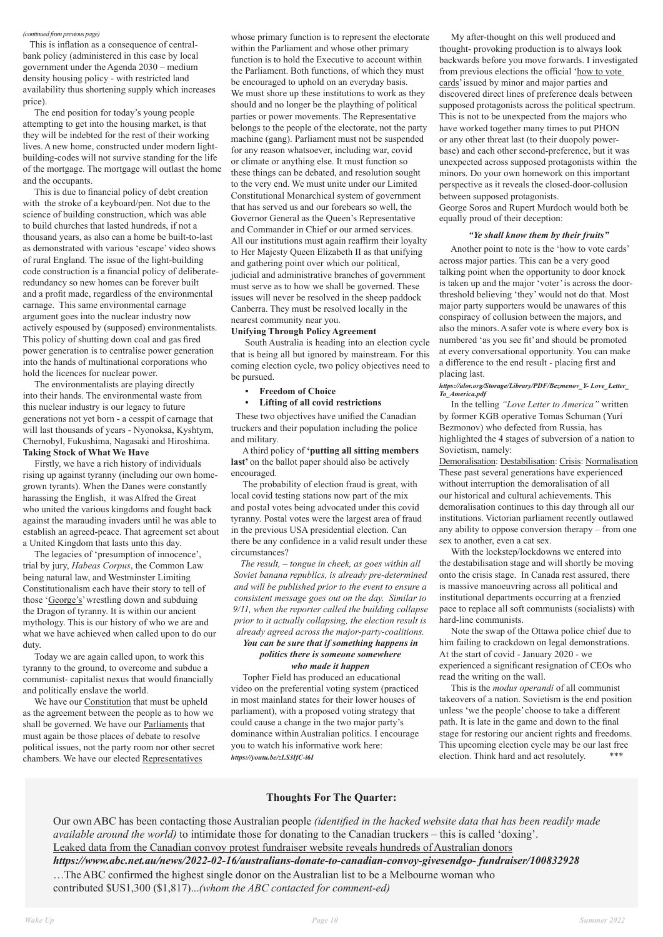#### *(continued from previous page)*

This is inflation as a consequence of centralbank policy (administered in this case by local government under the Agenda 2030 – medium density housing policy - with restricted land availability thus shortening supply which increases price).

 The end position for today's young people attempting to get into the housing market, is that they will be indebted for the rest of their working lives. A new home, constructed under modern lightbuilding-codes will not survive standing for the life of the mortgage. The mortgage will outlast the home and the occupants.

 This is due to financial policy of debt creation with the stroke of a keyboard/pen. Not due to the science of building construction, which was able to build churches that lasted hundreds, if not a thousand years, as also can a home be built-to-last as demonstrated with various 'escape' video shows of rural England. The issue of the light-building code construction is a financial policy of deliberateredundancy so new homes can be forever built and a profit made, regardless of the environmental carnage. This same environmental carnage argument goes into the nuclear industry now actively espoused by (supposed) environmentalists. This policy of shutting down coal and gas fired power generation is to centralise power generation into the hands of multinational corporations who hold the licences for nuclear power.

 The environmentalists are playing directly into their hands. The environmental waste from this nuclear industry is our legacy to future generations not yet born - a cesspit of carnage that will last thousands of years - Nyonoksa, Kyshtym, Chernobyl, Fukushima, Nagasaki and Hiroshima. **Taking Stock of What We Have**

 Firstly, we have a rich history of individuals rising up against tyranny (including our own homegrown tyrants). When the Danes were constantly harassing the English, it was Alfred the Great who united the various kingdoms and fought back against the marauding invaders until he was able to establish an agreed-peace. That agreement set about a United Kingdom that lasts unto this day.

 The legacies of 'presumption of innocence', trial by jury, *Habeas Corpus*, the Common Law being natural law, and Westminster Limiting Constitutionalism each have their story to tell of those 'George's' wrestling down and subduing the Dragon of tyranny. It is within our ancient mythology. This is our history of who we are and what we have achieved when called upon to do our duty.

 Today we are again called upon, to work this tyranny to the ground, to overcome and subdue a communist- capitalist nexus that would financially and politically enslave the world.

We have our **Constitution** that must be upheld

as the agreement between the people as to how we shall be governed. We have our **Parliaments** that must again be those places of debate to resolve political issues, not the party room nor other secret chambers. We have our elected Representatives

whose primary function is to represent the electorate within the Parliament and whose other primary function is to hold the Executive to account within the Parliament. Both functions, of which they must be encouraged to uphold on an everyday basis. We must shore up these institutions to work as they should and no longer be the plaything of political parties or power movements. The Representative belongs to the people of the electorate, not the party machine (gang). Parliament must not be suspended for any reason whatsoever, including war, covid or climate or anything else. It must function so these things can be debated, and resolution sought to the very end. We must unite under our Limited Constitutional Monarchical system of government that has served us and our forebears so well, the Governor General as the Queen's Representative and Commander in Chief or our armed services. All our institutions must again reaffirm their loyalty to Her Majesty Queen Elizabeth II as that unifying and gathering point over which our political, judicial and administrative branches of government must serve as to how we shall be governed. These issues will never be resolved in the sheep paddock Canberra. They must be resolved locally in the nearest community near you.

> With the lockstep/lockdowns we entered into the destabilisation stage and will shortly be moving onto the crisis stage. In Canada rest assured, there is massive manoeuvring across all political and institutional departments occurring at a frenzied pace to replace all soft communists (socialists) with hard-line communists.

 This is the *modus operandi* of all communist takeovers of a nation. Sovietism is the end position unless 'we the people' choose to take a different path. It is late in the game and down to the final stage for restoring our ancient rights and freedoms. This upcoming election cycle may be our last free election. Think hard and act resolutely.

#### **Unifying Through Policy Agreement**

 South Australia is heading into an election cycle that is being all but ignored by mainstream. For this coming election cycle, two policy objectives need to be pursued.

**• Freedom of Choice** 

#### **• Lifting of all covid restrictions**

 These two objectives have unified the Canadian truckers and their population including the police and military.

 A third policy of **'putting all sitting members**  last' on the ballot paper should also be actively encouraged.

 The probability of election fraud is great, with local covid testing stations now part of the mix and postal votes being advocated under this covid tyranny. Postal votes were the largest area of fraud in the previous USA presidential election. Can there be any confidence in a valid result under these circumstances?

*The result, – tongue in cheek, as goes within all Soviet banana republics, is already pre-determined and will be published prior to the event to ensure a consistent message goes out on the day. Similar to 9/11, when the reporter called the building collapse prior to it actually collapsing, the election result is already agreed across the major-party-coalitions.*

## *You can be sure that if something happens in politics there is someone somewhere who made it happen*

 Topher Field has produced an educational video on the preferential voting system (practiced in most mainland states for their lower houses of parliament), with a proposed voting strategy that could cause a change in the two major party's dominance within Australian politics. I encourage you to watch his informative work here: *https://youtu.be/zLS3IfC-i6I*

 My after-thought on this well produced and thought- provoking production is to always look backwards before you move forwards. I investigated from previous elections the official 'how to vote cards' issued by minor and major parties and discovered direct lines of preference deals between supposed protagonists across the political spectrum. This is not to be unexpected from the majors who have worked together many times to put PHON or any other threat last (to their duopoly powerbase) and each other second-preference, but it was unexpected across supposed protagonists within the minors. Do your own homework on this important perspective as it reveals the closed-door-collusion between supposed protagonists. George Soros and Rupert Murdoch would both be equally proud of their deception:

#### *"Ye shall know them by their fruits"*

 Another point to note is the 'how to vote cards' across major parties. This can be a very good talking point when the opportunity to door knock is taken up and the major 'voter' is across the doorthreshold believing 'they' would not do that. Most major party supporters would be unawares of this conspiracy of collusion between the majors, and also the minors. A safer vote is where every box is numbered 'as you see fit' and should be promoted at every conversational opportunity. You can make a difference to the end result - placing first and placing last.

#### *https://alor.org/Storage/Library/PDF/Bezmenov\_Y- Love\_Letter\_ To\_America.pdf*

In the telling *"Love Letter to America"* written by former KGB operative Tomas Schuman (Yuri Bezmonov) who defected from Russia, has highlighted the 4 stages of subversion of a nation to Sovietism, namely:

Demoralisation: Destabilisation: Crisis: Normalisation These past several generations have experienced without interruption the demoralisation of all our historical and cultural achievements. This demoralisation continues to this day through all our institutions. Victorian parliament recently outlawed any ability to oppose conversion therapy – from one sex to another, even a cat sex.

 Note the swap of the Ottawa police chief due to him failing to crackdown on legal demonstrations. At the start of covid - January 2020 - we experienced a significant resignation of CEOs who read the writing on the wall.

## **Thoughts For The Quarter:**

Our own ABC has been contacting those Australian people *(identified in the hacked website data that has been readily made available around the world)* to intimidate those for donating to the Canadian truckers – this is called 'doxing'. Leaked data from the Canadian convoy protest fundraiser website reveals hundreds of Australian donors *https://www.abc.net.au/news/2022-02-16/australians-donate-to-canadian-convoy-givesendgo- fundraiser/100832928* …The ABC confirmed the highest single donor on the Australian list to be a Melbourne woman who contributed \$US1,300 (\$1,817)...*(whom the ABC contacted for comment-ed)*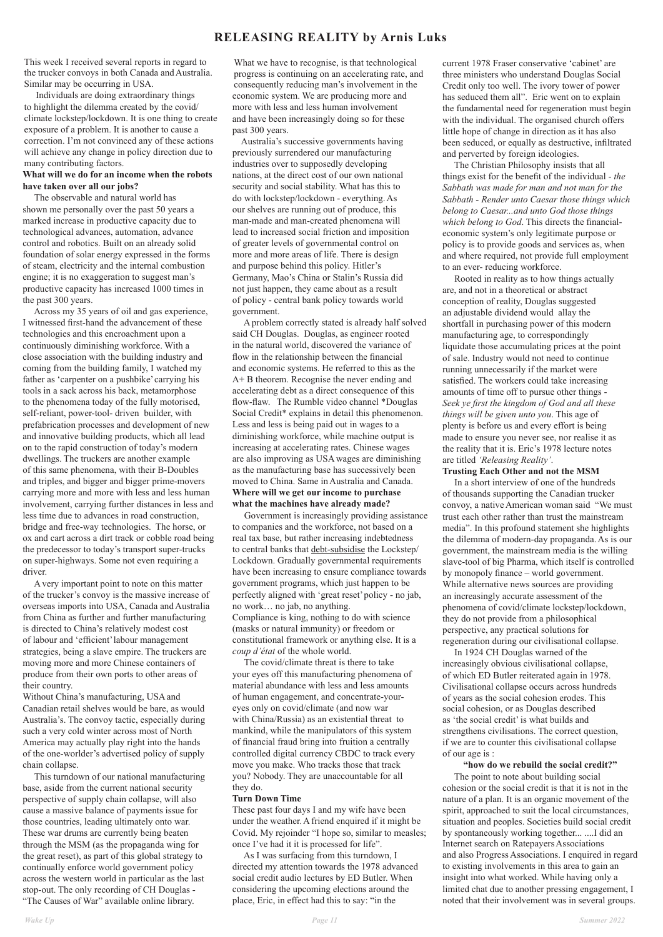This week I received several reports in regard to the trucker convoys in both Canada and Australia. Similar may be occurring in USA.

 Individuals are doing extraordinary things to highlight the dilemma created by the covid/ climate lockstep/lockdown. It is one thing to create exposure of a problem. It is another to cause a correction. I'm not convinced any of these actions will achieve any change in policy direction due to many contributing factors.

### **What will we do for an income when the robots have taken over all our jobs?**

The observable and natural world has shown me personally over the past 50 years a marked increase in productive capacity due to technological advances, automation, advance control and robotics. Built on an already solid foundation of solar energy expressed in the forms of steam, electricity and the internal combustion engine; it is no exaggeration to suggest man's productive capacity has increased 1000 times in the past 300 years.

Across my 35 years of oil and gas experience, I witnessed first-hand the advancement of these technologies and this encroachment upon a continuously diminishing workforce. With a close association with the building industry and coming from the building family, I watched my father as 'carpenter on a pushbike' carrying his tools in a sack across his back, metamorphose to the phenomena today of the fully motorised, self-reliant, power-tool- driven builder, with prefabrication processes and development of new and innovative building products, which all lead on to the rapid construction of today's modern dwellings. The truckers are another example of this same phenomena, with their B-Doubles and triples, and bigger and bigger prime-movers carrying more and more with less and less human involvement, carrying further distances in less and less time due to advances in road construction, bridge and free-way technologies. The horse, or ox and cart across a dirt track or cobble road being the predecessor to today's transport super-trucks on super-highways. Some not even requiring a driver.

A very important point to note on this matter of the trucker's convoy is the massive increase of overseas imports into USA, Canada and Australia from China as further and further manufacturing is directed to China's relatively modest cost of labour and 'efficient' labour management strategies, being a slave empire. The truckers are moving more and more Chinese containers of produce from their own ports to other areas of their country.

Without China's manufacturing, USA and Canadian retail shelves would be bare, as would Australia's. The convoy tactic, especially during such a very cold winter across most of North America may actually play right into the hands of the one-worlder's advertised policy of supply chain collapse. This turndown of our national manufacturing base, aside from the current national security perspective of supply chain collapse, will also cause a massive balance of payments issue for those countries, leading ultimately onto war. These war drums are currently being beaten through the MSM (as the propaganda wing for the great reset), as part of this global strategy to continually enforce world government policy across the western world in particular as the last stop-out. The only recording of CH Douglas - "The Causes of War" available online library.

What we have to recognise, is that technological progress is continuing on an accelerating rate, and consequently reducing man's involvement in the economic system. We are producing more and more with less and less human involvement and have been increasingly doing so for these past 300 years.

 Australia's successive governments having previously surrendered our manufacturing industries over to supposedly developing nations, at the direct cost of our own national security and social stability. What has this to do with lockstep/lockdown - everything. As our shelves are running out of produce, this man-made and man-created phenomena will lead to increased social friction and imposition of greater levels of governmental control on more and more areas of life. There is design and purpose behind this policy. Hitler's Germany, Mao's China or Stalin's Russia did not just happen, they came about as a result of policy - central bank policy towards world government.

A problem correctly stated is already half solved said CH Douglas. Douglas, as engineer rooted in the natural world, discovered the variance of flow in the relationship between the financial and economic systems. He referred to this as the A+ B theorem. Recognise the never ending and accelerating debt as a direct consequence of this flow-flaw. The Rumble video channel \*Douglas Social Credit\* explains in detail this phenomenon. Less and less is being paid out in wages to a diminishing workforce, while machine output is increasing at accelerating rates. Chinese wages are also improving as USA wages are diminishing as the manufacturing base has successively been moved to China. Same in Australia and Canada. **Where will we get our income to purchase what the machines have already made?**

Government is increasingly providing assistance to companies and the workforce, not based on a real tax base, but rather increasing indebtedness to central banks that debt-subsidise the Lockstep/ Lockdown. Gradually governmental requirements have been increasing to ensure compliance towards government programs, which just happen to be perfectly aligned with 'great reset' policy - no jab, no work… no jab, no anything. Compliance is king, nothing to do with science (masks or natural immunity) or freedom or constitutional framework or anything else. It is a *coup d'état* of the whole world.

The covid/climate threat is there to take your eyes off this manufacturing phenomena of material abundance with less and less amounts of human engagement, and concentrate-youreyes only on covid/climate (and now war with China/Russia) as an existential threat to mankind, while the manipulators of this system of financial fraud bring into fruition a centrally controlled digital currency CBDC to track every move you make. Who tracks those that track you? Nobody. They are unaccountable for all they do.

## **Turn Down Time**

These past four days I and my wife have been under the weather. A friend enquired if it might be Covid. My rejoinder "I hope so, similar to measles; once I've had it it is processed for life".

As I was surfacing from this turndown, I directed my attention towards the 1978 advanced social credit audio lectures by ED Butler. When considering the upcoming elections around the place, Eric, in effect had this to say: "in the

current 1978 Fraser conservative 'cabinet' are three ministers who understand Douglas Social Credit only too well. The ivory tower of power has seduced them all". Eric went on to explain the fundamental need for regeneration must begin with the individual. The organised church offers little hope of change in direction as it has also been seduced, or equally as destructive, infiltrated and perverted by foreign ideologies.

The Christian Philosophy insists that all things exist for the benefit of the individual - *the Sabbath was made for man and not man for the Sabbath* - *Render unto Caesar those things which belong to Caesar...and unto God those things which belong to God*. This directs the financialeconomic system's only legitimate purpose or policy is to provide goods and services as, when and where required, not provide full employment to an ever- reducing workforce.

Rooted in reality as to how things actually are, and not in a theoretical or abstract conception of reality, Douglas suggested an adjustable dividend would allay the shortfall in purchasing power of this modern manufacturing age, to correspondingly liquidate those accumulating prices at the point of sale. Industry would not need to continue running unnecessarily if the market were satisfied. The workers could take increasing amounts of time off to pursue other things - *Seek ye first the kingdom of God and all these things will be given unto you*. This age of plenty is before us and every effort is being made to ensure you never see, nor realise it as the reality that it is. Eric's 1978 lecture notes are titled *'Releasing Reality'*.

#### **Trusting Each Other and not the MSM**

In a short interview of one of the hundreds of thousands supporting the Canadian trucker convoy, a native American woman said "We must trust each other rather than trust the mainstream media". In this profound statement she highlights the dilemma of modern-day propaganda. As is our government, the mainstream media is the willing slave-tool of big Pharma, which itself is controlled by monopoly finance – world government. While alternative news sources are providing an increasingly accurate assessment of the phenomena of covid/climate lockstep/lockdown, they do not provide from a philosophical perspective, any practical solutions for regeneration during our civilisational collapse.

In 1924 CH Douglas warned of the increasingly obvious civilisational collapse, of which ED Butler reiterated again in 1978. Civilisational collapse occurs across hundreds of years as the social cohesion erodes. This social cohesion, or as Douglas described as 'the social credit' is what builds and strengthens civilisations. The correct question, if we are to counter this civilisational collapse of our age is :

## **"how do we rebuild the social credit?"**

The point to note about building social cohesion or the social credit is that it is not in the nature of a plan. It is an organic movement of the spirit, approached to suit the local circumstances, situation and peoples. Societies build social credit by spontaneously working together... ....I did an Internet search on Ratepayers Associations and also Progress Associations. I enquired in regard to existing involvements in this area to gain an insight into what worked. While having only a limited chat due to another pressing engagement, I noted that their involvement was in several groups.

## **RELEASING REALITY by Arnis Luks**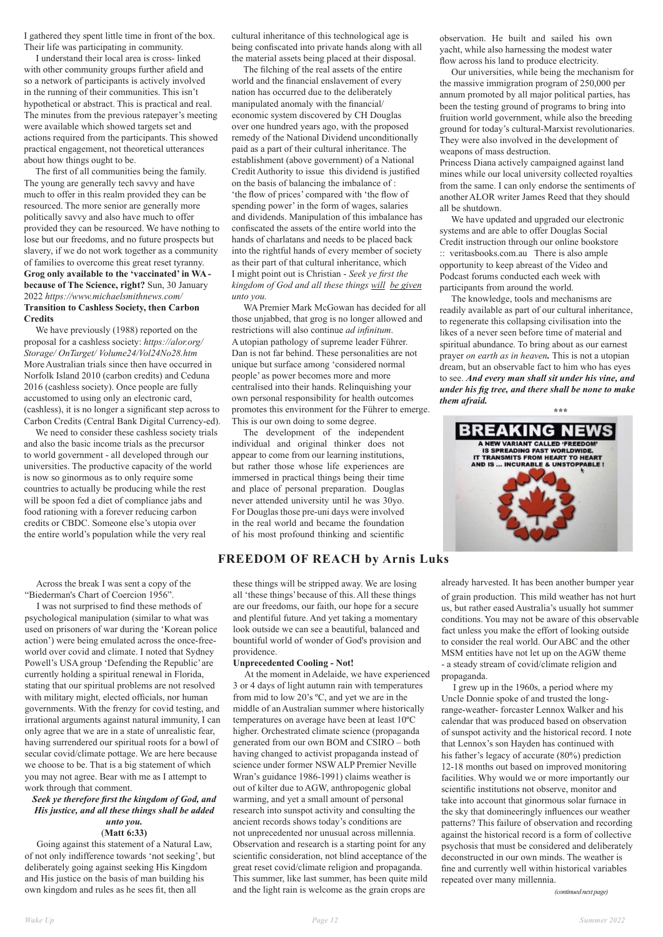I gathered they spent little time in front of the box. Their life was participating in community.

 I understand their local area is cross- linked with other community groups further afield and so a network of participants is actively involved in the running of their communities. This isn't hypothetical or abstract. This is practical and real. The minutes from the previous ratepayer's meeting were available which showed targets set and actions required from the participants. This showed practical engagement, not theoretical utterances about how things ought to be.

 The first of all communities being the family. The young are generally tech savvy and have much to offer in this realm provided they can be resourced. The more senior are generally more politically savvy and also have much to offer provided they can be resourced. We have nothing to lose but our freedoms, and no future prospects but slavery, if we do not work together as a community of families to overcome this great reset tyranny. **Grog only available to the 'vaccinated' in WA because of The Science, right?** Sun, 30 January 2022 *https://www.michaelsmithnews.com/* **Transition to Cashless Society, then Carbon Credits**

We have previously (1988) reported on the proposal for a cashless society: *https://alor.org/ Storage/ OnTarget/ Volume24/Vol24No28.htm*  More Australian trials since then have occurred in Norfolk Island 2010 (carbon credits) and Ceduna 2016 (cashless society). Once people are fully accustomed to using only an electronic card, (cashless), it is no longer a significant step across to Carbon Credits (Central Bank Digital Currency-ed).

We need to consider these cashless society trials and also the basic income trials as the precursor to world government - all developed through our universities. The productive capacity of the world is now so ginormous as to only require some countries to actually be producing while the rest will be spoon fed a diet of compliance jabs and food rationing with a forever reducing carbon credits or CBDC. Someone else's utopia over the entire world's population while the very real

cultural inheritance of this technological age is being confiscated into private hands along with all the material assets being placed at their disposal.

The filching of the real assets of the entire world and the financial enslavement of every nation has occurred due to the deliberately manipulated anomaly with the financial/ economic system discovered by CH Douglas over one hundred years ago, with the proposed remedy of the National Dividend unconditionally paid as a part of their cultural inheritance. The establishment (above government) of a National Credit Authority to issue this dividend is justified on the basis of balancing the imbalance of : 'the flow of prices' compared with 'the flow of spending power' in the form of wages, salaries and dividends. Manipulation of this imbalance has confiscated the assets of the entire world into the hands of charlatans and needs to be placed back into the rightful hands of every member of society as their part of that cultural inheritance, which I might point out is Christian - *Seek ye first the kingdom of God and all these things will be given unto you.*

WA Premier Mark McGowan has decided for all those unjabbed, that grog is no longer allowed and restrictions will also continue *ad infinitum*. A utopian pathology of supreme leader Führer. Dan is not far behind. These personalities are not unique but surface among 'considered normal people' as power becomes more and more centralised into their hands. Relinquishing your own personal responsibility for health outcomes promotes this environment for the Führer to emerge. This is our own doing to some degree.

The development of the independent individual and original thinker does not appear to come from our learning institutions, but rather those whose life experiences are immersed in practical things being their time and place of personal preparation. Douglas never attended university until he was 30yo. For Douglas those pre-uni days were involved in the real world and became the foundation of his most profound thinking and scientific

observation. He built and sailed his own yacht, while also harnessing the modest water flow across his land to produce electricity.

Our universities, while being the mechanism for the massive immigration program of 250,000 per annum promoted by all major political parties, has been the testing ground of programs to bring into fruition world government, while also the breeding ground for today's cultural-Marxist revolutionaries. They were also involved in the development of weapons of mass destruction.

Princess Diana actively campaigned against land mines while our local university collected royalties from the same. I can only endorse the sentiments of another ALOR writer James Reed that they should all be shutdown.

We have updated and upgraded our electronic systems and are able to offer Douglas Social Credit instruction through our online bookstore :: veritasbooks.com.au There is also ample opportunity to keep abreast of the Video and Podcast forums conducted each week with participants from around the world.

The knowledge, tools and mechanisms are readily available as part of our cultural inheritance, to regenerate this collapsing civilisation into the likes of a never seen before time of material and spiritual abundance. To bring about as our earnest prayer *on earth as in heaven.* This is not a utopian dream, but an observable fact to him who has eyes to see. *And every man shall sit under his vine, and under his fig tree, and there shall be none to make them afraid.*



## **FREEDOM OF REACH by Arnis Luks**

 Across the break I was sent a copy of the "Biederman's Chart of Coercion 1956".

 I was not surprised to find these methods of psychological manipulation (similar to what was used on prisoners of war during the 'Korean police action') were being emulated across the once-freeworld over covid and climate. I noted that Sydney Powell's USA group 'Defending the Republic' are currently holding a spiritual renewal in Florida, stating that our spiritual problems are not resolved with military might, elected officials, nor human governments. With the frenzy for covid testing, and irrational arguments against natural immunity, I can only agree that we are in a state of unrealistic fear, having surrendered our spiritual roots for a bowl of secular covid/climate pottage. We are here because we choose to be. That is a big statement of which you may not agree. Bear with me as I attempt to work through that comment.

## *Seek ye therefore first the kingdom of God, and His justice, and all these things shall be added*

### *unto you.* (**Matt 6:33)**

 Going against this statement of a Natural Law, of not only indifference towards 'not seeking', but deliberately going against seeking His Kingdom and His justice on the basis of man building his own kingdom and rules as he sees fit, then all

these things will be stripped away. We are losing all 'these things' because of this. All these things are our freedoms, our faith, our hope for a secure and plentiful future. And yet taking a momentary look outside we can see a beautiful, balanced and bountiful world of wonder of God's provision and providence.

#### **Unprecedented Cooling - Not!**

 At the moment in Adelaide, we have experienced 3 or 4 days of light autumn rain with temperatures from mid to low 20's ºC, and yet we are in the middle of an Australian summer where historically temperatures on average have been at least 10ºC higher. Orchestrated climate science (propaganda generated from our own BOM and CSIRO – both having changed to activist propaganda instead of science under former NSW ALP Premier Neville Wran's guidance 1986-1991) claims weather is out of kilter due to AGW, anthropogenic global warming, and yet a small amount of personal research into sunspot activity and consulting the ancient records shows today's conditions are not unprecedented nor unusual across millennia. Observation and research is a starting point for any scientific consideration, not blind acceptance of the great reset covid/climate religion and propaganda. This summer, like last summer, has been quite mild and the light rain is welcome as the grain crops are

already harvested. It has been another bumper year of grain production. This mild weather has not hurt us, but rather eased Australia's usually hot summer conditions. You may not be aware of this observable fact unless you make the effort of looking outside to consider the real world. Our ABC and the other MSM entities have not let up on the AGW theme - a steady stream of covid/climate religion and propaganda.

 I grew up in the 1960s, a period where my Uncle Donnie spoke of and trusted the longrange-weather- forcaster Lennox Walker and his calendar that was produced based on observation of sunspot activity and the historical record. I note that Lennox's son Hayden has continued with his father's legacy of accurate (80%) prediction 12-18 months out based on improved monitoring facilities. Why would we or more importantly our scientific institutions not observe, monitor and take into account that ginormous solar furnace in the sky that domineeringly influences our weather patterns? This failure of observation and recording against the historical record is a form of collective psychosis that must be considered and deliberately deconstructed in our own minds. The weather is fine and currently well within historical variables repeated over many millennia.

#### *(continued next page)*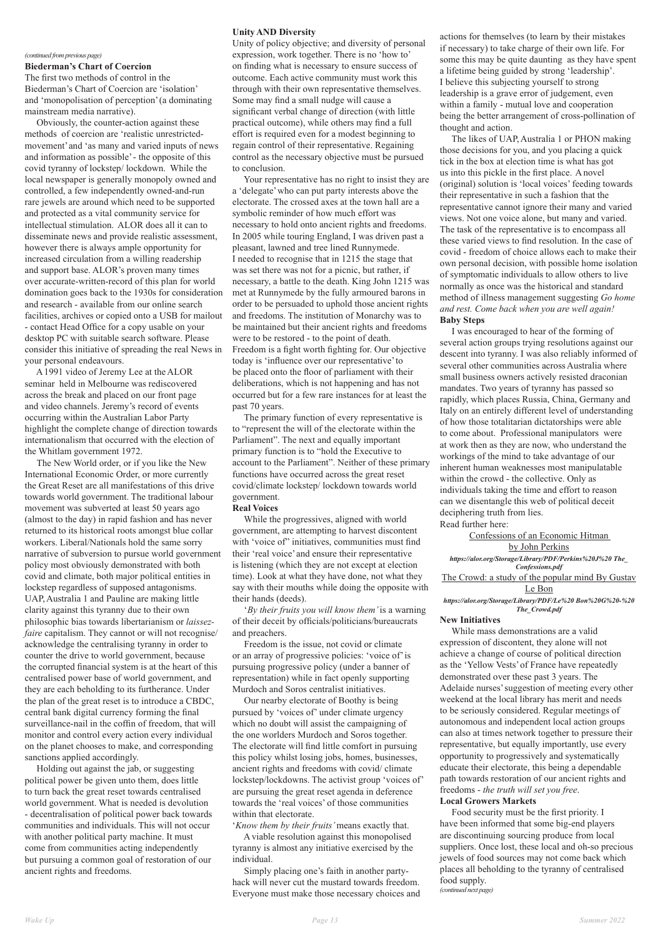#### *(continued from previous page)*

**Biederman's Chart of Coercion**

The first two methods of control in the Biederman's Chart of Coercion are 'isolation' and 'monopolisation of perception' (a dominating mainstream media narrative).

 Obviously, the counter-action against these methods of coercion are 'realistic unrestrictedmovement' and 'as many and varied inputs of news and information as possible' - the opposite of this covid tyranny of lockstep/ lockdown. While the local newspaper is generally monopoly owned and controlled, a few independently owned-and-run rare jewels are around which need to be supported and protected as a vital community service for intellectual stimulation. ALOR does all it can to disseminate news and provide realistic assessment, however there is always ample opportunity for increased circulation from a willing readership and support base. ALOR's proven many times over accurate-written-record of this plan for world domination goes back to the 1930s for consideration and research - available from our online search facilities, archives or copied onto a USB for mailout - contact Head Office for a copy usable on your desktop PC with suitable search software. Please consider this initiative of spreading the real News in your personal endeavours.

The New World order, or if you like the New International Economic Order, or more currently the Great Reset are all manifestations of this drive towards world government. The traditional labour movement was subverted at least 50 years ago (almost to the day) in rapid fashion and has never returned to its historical roots amongst blue collar workers. Liberal/Nationals hold the same sorry narrative of subversion to pursue world government policy most obviously demonstrated with both covid and climate, both major political entities in lockstep regardless of supposed antagonisms. UAP, Australia 1 and Pauline are making little clarity against this tyranny due to their own philosophic bias towards libertarianism or *laissezfaire* capitalism. They cannot or will not recognise/ acknowledge the centralising tyranny in order to counter the drive to world government, because the corrupted financial system is at the heart of this centralised power base of world government, and they are each beholding to its furtherance. Under the plan of the great reset is to introduce a CBDC,

 A 1991 video of Jeremy Lee at the ALOR seminar held in Melbourne was rediscovered across the break and placed on our front page and video channels. Jeremy's record of events occurring within the Australian Labor Party highlight the complete change of direction towards internationalism that occurred with the election of the Whitlam government 1972.

central bank digital currency forming the final surveillance-nail in the coffin of freedom, that will monitor and control every action every individual on the planet chooses to make, and corresponding sanctions applied accordingly.

 Holding out against the jab, or suggesting political power be given unto them, does little to turn back the great reset towards centralised world government. What is needed is devolution - decentralisation of political power back towards communities and individuals. This will not occur with another political party machine. It must come from communities acting independently but pursuing a common goal of restoration of our ancient rights and freedoms.

#### **Unity AND Diversity**

Unity of policy objective; and diversity of personal expression, work together. There is no 'how to' on finding what is necessary to ensure success of outcome. Each active community must work this through with their own representative themselves. Some may find a small nudge will cause a significant verbal change of direction (with little practical outcome), while others may find a full effort is required even for a modest beginning to regain control of their representative. Regaining control as the necessary objective must be pursued to conclusion.

 Your representative has no right to insist they are a 'delegate' who can put party interests above the electorate. The crossed axes at the town hall are a symbolic reminder of how much effort was necessary to hold onto ancient rights and freedoms. In 2005 while touring England, I was driven past a pleasant, lawned and tree lined Runnymede. I needed to recognise that in 1215 the stage that was set there was not for a picnic, but rather, if necessary, a battle to the death. King John 1215 was met at Runnymede by the fully armoured barons in order to be persuaded to uphold those ancient rights and freedoms. The institution of Monarchy was to be maintained but their ancient rights and freedoms were to be restored - to the point of death. Freedom is a fight worth fighting for. Our objective today is 'influence over our representative' to be placed onto the floor of parliament with their deliberations, which is not happening and has not occurred but for a few rare instances for at least the past 70 years.

 The primary function of every representative is to "represent the will of the electorate within the Parliament". The next and equally important primary function is to "hold the Executive to account to the Parliament". Neither of these primary functions have occurred across the great reset covid/climate lockstep/ lockdown towards world government.

#### **Real Voices**

 While the progressives, aligned with world government, are attempting to harvest discontent with 'voice of' initiatives, communities must find their 'real voice' and ensure their representative is listening (which they are not except at election time). Look at what they have done, not what they say with their mouths while doing the opposite with their hands (deeds).

 '*By their fruits you will know them'* is a warning of their deceit by officials/politicians/bureaucrats and preachers.

 Freedom is the issue, not covid or climate or an array of progressive policies: 'voice of' is pursuing progressive policy (under a banner of representation) while in fact openly supporting Murdoch and Soros centralist initiatives.

Our nearby electorate of Boothy is being

pursued by 'voices of' under climate urgency which no doubt will assist the campaigning of the one worlders Murdoch and Soros together. The electorate will find little comfort in pursuing this policy whilst losing jobs, homes, businesses, ancient rights and freedoms with covid/ climate lockstep/lockdowns. The activist group 'voices of' are pursuing the great reset agenda in deference towards the 'real voices' of those communities within that electorate.

'*Know them by their fruits'* means exactly that. A viable resolution against this monopolised tyranny is almost any initiative exercised by the individual.

 Simply placing one's faith in another partyhack will never cut the mustard towards freedom. Everyone must make those necessary choices and actions for themselves (to learn by their mistakes if necessary) to take charge of their own life. For some this may be quite daunting as they have spent a lifetime being guided by strong 'leadership'. I believe this subjecting yourself to strong leadership is a grave error of judgement, even within a family - mutual love and cooperation being the better arrangement of cross-pollination of thought and action.

 The likes of UAP, Australia 1 or PHON making those decisions for you, and you placing a quick tick in the box at election time is what has got us into this pickle in the first place. A novel (original) solution is 'local voices' feeding towards their representative in such a fashion that the representative cannot ignore their many and varied views. Not one voice alone, but many and varied. The task of the representative is to encompass all these varied views to find resolution. In the case of covid - freedom of choice allows each to make their own personal decision, with possible home isolation of symptomatic individuals to allow others to live normally as once was the historical and standard method of illness management suggesting *Go home and rest. Come back when you are well again!* **Baby Steps**

 I was encouraged to hear of the forming of several action groups trying resolutions against our descent into tyranny. I was also reliably informed of several other communities across Australia where small business owners actively resisted draconian mandates. Two years of tyranny has passed so rapidly, which places Russia, China, Germany and Italy on an entirely different level of understanding of how those totalitarian dictatorships were able to come about. Professional manipulators were at work then as they are now, who understand the workings of the mind to take advantage of our inherent human weaknesses most manipulatable within the crowd - the collective. Only as individuals taking the time and effort to reason can we disentangle this web of political deceit deciphering truth from lies. Read further here:

Confessions of an Economic Hitman by John Perkins *https://alor.org/Storage/Library/PDF/Perkins%20J%20 The\_ Confessions.pdf* The Crowd: a study of the popular mind By Gustav Le Bon *https://alor.org/Storage/Library/PDF/Le%20 Bon%20G%20-%20 The\_Crowd.pdf*

#### **New Initiatives**

 While mass demonstrations are a valid expression of discontent, they alone will not achieve a change of course of political direction as the 'Yellow Vests' of France have repeatedly demonstrated over these past 3 years. The Adelaide nurses' suggestion of meeting every other weekend at the local library has merit and needs to be seriously considered. Regular meetings of autonomous and independent local action groups can also at times network together to pressure their representative, but equally importantly, use every opportunity to progressively and systematically educate their electorate, this being a dependable path towards restoration of our ancient rights and freedoms - *the truth will set you free*.

## **Local Growers Markets**

 Food security must be the first priority. I have been informed that some big-end players are discontinuing sourcing produce from local suppliers. Once lost, these local and oh-so precious jewels of food sources may not come back which places all beholding to the tyranny of centralised food supply. *(continued next page)*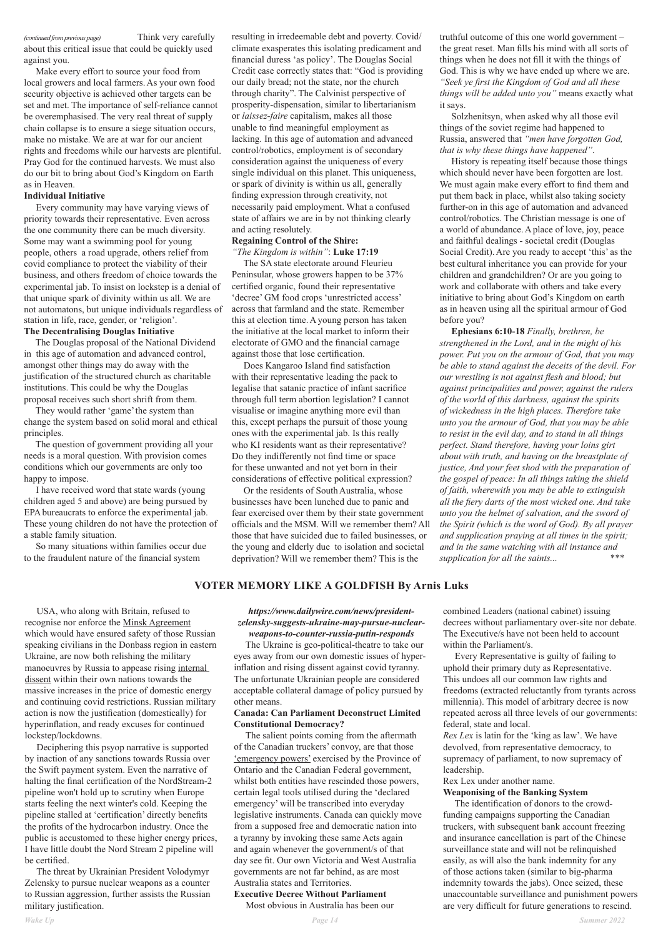*(continued from previous page)* Think very carefully about this critical issue that could be quickly used against you.

 Make every effort to source your food from local growers and local farmers. As your own food security objective is achieved other targets can be set and met. The importance of self-reliance cannot be overemphasised. The very real threat of supply chain collapse is to ensure a siege situation occurs, make no mistake. We are at war for our ancient rights and freedoms while our harvests are plentiful. Pray God for the continued harvests. We must also do our bit to bring about God's Kingdom on Earth as in Heaven.

## **Individual Initiative**

 Every community may have varying views of priority towards their representative. Even across the one community there can be much diversity. Some may want a swimming pool for young people, others a road upgrade, others relief from covid compliance to protect the viability of their business, and others freedom of choice towards the experimental jab. To insist on lockstep is a denial of that unique spark of divinity within us all. We are not automatons, but unique individuals regardless of station in life, race, gender, or 'religion'.

#### **The Decentralising Douglas Initiative**

The Douglas proposal of the National Dividend in this age of automation and advanced control, amongst other things may do away with the justification of the structured church as charitable institutions. This could be why the Douglas proposal receives such short shrift from them.

They would rather 'game' the system than change the system based on solid moral and ethical principles.

The question of government providing all your needs is a moral question. With provision comes conditions which our governments are only too happy to impose.

 I have received word that state wards (young children aged 5 and above) are being pursued by EPA bureaucrats to enforce the experimental jab. These young children do not have the protection of a stable family situation.

 So many situations within families occur due to the fraudulent nature of the financial system

resulting in irredeemable debt and poverty. Covid/ climate exasperates this isolating predicament and financial duress 'as policy'. The Douglas Social Credit case correctly states that: "God is providing our daily bread; not the state, nor the church through charity". The Calvinist perspective of prosperity-dispensation, similar to libertarianism or *laissez-faire* capitalism, makes all those unable to find meaningful employment as lacking. In this age of automation and advanced control/robotics, employment is of secondary consideration against the uniqueness of every single individual on this planet. This uniqueness, or spark of divinity is within us all, generally finding expression through creativity, not necessarily paid employment. What a confused state of affairs we are in by not thinking clearly and acting resolutely.

### **Regaining Control of the Shire:**

*"The Kingdom is within"*: **Luke 17:19**

The SA state electorate around Fleurieu Peninsular, whose growers happen to be 37% certified organic, found their representative 'decree' GM food crops 'unrestricted access' across that farmland and the state. Remember this at election time. A young person has taken the initiative at the local market to inform their electorate of GMO and the financial carnage against those that lose certification.

Does Kangaroo Island find satisfaction with their representative leading the pack to legalise that satanic practice of infant sacrifice through full term abortion legislation? I cannot visualise or imagine anything more evil than this, except perhaps the pursuit of those young ones with the experimental jab. Is this really who KI residents want as their representative? Do they indifferently not find time or space for these unwanted and not yet born in their considerations of effective political expression?

Or the residents of South Australia, whose businesses have been lunched due to panic and fear exercised over them by their state government officials and the MSM. Will we remember them? All those that have suicided due to failed businesses, or the young and elderly due to isolation and societal deprivation? Will we remember them? This is the

truthful outcome of this one world government – the great reset. Man fills his mind with all sorts of things when he does not fill it with the things of God. This is why we have ended up where we are. *"Seek ye first the Kingdom of God and all these things will be added unto you"* means exactly what it says.

Solzhenitsyn, when asked why all those evil things of the soviet regime had happened to Russia, answered that *"men have forgotten God, that is why these things have happened"*.

History is repeating itself because those things which should never have been forgotten are lost. We must again make every effort to find them and put them back in place, whilst also taking society further-on in this age of automation and advanced control/robotics. The Christian message is one of a world of abundance. A place of love, joy, peace and faithful dealings - societal credit (Douglas Social Credit). Are you ready to accept 'this' as the best cultural inheritance you can provide for your children and grandchildren? Or are you going to work and collaborate with others and take every initiative to bring about God's Kingdom on earth as in heaven using all the spiritual armour of God before you?

**Ephesians 6:10-18** *Finally, brethren, be strengthened in the Lord, and in the might of his power. Put you on the armour of God, that you may be able to stand against the deceits of the devil. For our wrestling is not against flesh and blood; but against principalities and power, against the rulers of the world of this darkness, against the spirits of wickedness in the high places. Therefore take unto you the armour of God, that you may be able to resist in the evil day, and to stand in all things perfect. Stand therefore, having your loins girt about with truth, and having on the breastplate of justice, And your feet shod with the preparation of the gospel of peace: In all things taking the shield of faith, wherewith you may be able to extinguish all the fiery darts of the most wicked one. And take unto you the helmet of salvation, and the sword of the Spirit (which is the word of God). By all prayer and supplication praying at all times in the spirit; and in the same watching with all instance and supplication for all the saints... \*\*\**

## **VOTER MEMORY LIKE A GOLDFISH By Arnis Luks**

 USA, who along with Britain, refused to recognise nor enforce the Minsk Agreement which would have ensured safety of those Russian speaking civilians in the Donbass region in eastern Ukraine, are now both relishing the military manoeuvres by Russia to appease rising internal dissent within their own nations towards the massive increases in the price of domestic energy and continuing covid restrictions. Russian military

action is now the justification (domestically) for hyperinflation, and ready excuses for continued lockstep/lockdowns.

 Deciphering this psyop narrative is supported by inaction of any sanctions towards Russia over the Swift payment system. Even the narrative of halting the final certification of the NordStream-2 pipeline won't hold up to scrutiny when Europe starts feeling the next winter's cold. Keeping the pipeline stalled at 'certification' directly benefits the profits of the hydrocarbon industry. Once the public is accustomed to these higher energy prices, I have little doubt the Nord Stream 2 pipeline will be certified.

 The threat by Ukrainian President Volodymyr Zelensky to pursue nuclear weapons as a counter to Russian aggression, further assists the Russian military justification.

## *https://www.dailywire.com/news/presidentzelensky-suggests-ukraine-may-pursue-nuclearweapons-to-counter-russia-putin-responds*

 The Ukraine is geo-political-theatre to take our eyes away from our own domestic issues of hyperinflation and rising dissent against covid tyranny. The unfortunate Ukrainian people are considered acceptable collateral damage of policy pursued by other means.

## **Canada: Can Parliament Deconstruct Limited Constitutional Democracy?**

 The salient points coming from the aftermath of the Canadian truckers' convoy, are that those 'emergency powers' exercised by the Province of Ontario and the Canadian Federal government, whilst both entities have rescinded those powers, certain legal tools utilised during the 'declared emergency' will be transcribed into everyday legislative instruments. Canada can quickly move from a supposed free and democratic nation into a tyranny by invoking these same Acts again and again whenever the government/s of that day see fit. Our own Victoria and West Australia governments are not far behind, as are most Australia states and Territories. **Executive Decree Without Parliament**

Most obvious in Australia has been our

combined Leaders (national cabinet) issuing decrees without parliamentary over-site nor debate. The Executive/s have not been held to account within the Parliament/s.

 Every Representative is guilty of failing to uphold their primary duty as Representative. This undoes all our common law rights and freedoms (extracted reluctantly from tyrants across millennia). This model of arbitrary decree is now

repeated across all three levels of our governments: federal, state and local.

*Rex Lex* is latin for the 'king as law'. We have devolved, from representative democracy, to supremacy of parliament, to now supremacy of leadership.

Rex Lex under another name.

## **Weaponising of the Banking System**

 The identification of donors to the crowdfunding campaigns supporting the Canadian truckers, with subsequent bank account freezing and insurance cancellation is part of the Chinese surveillance state and will not be relinquished easily, as will also the bank indemnity for any of those actions taken (similar to big-pharma indemnity towards the jabs). Once seized, these unaccountable surveillance and punishment powers are very difficult for future generations to rescind.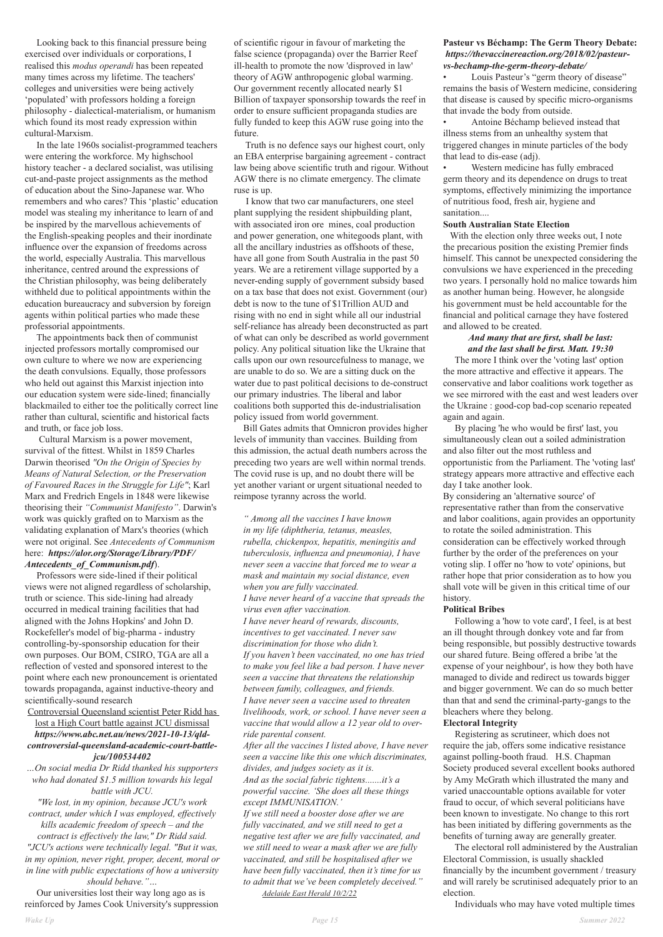Looking back to this financial pressure being exercised over individuals or corporations, I realised this *modus operandi* has been repeated many times across my lifetime. The teachers' colleges and universities were being actively 'populated' with professors holding a foreign philosophy - dialectical-materialism, or humanism which found its most ready expression within cultural-Marxism.

 In the late 1960s socialist-programmed teachers were entering the workforce. My highschool history teacher - a declared socialist, was utilising cut-and-paste project assignments as the method of education about the Sino-Japanese war. Who remembers and who cares? This 'plastic' education model was stealing my inheritance to learn of and be inspired by the marvellous achievements of the English-speaking peoples and their inordinate influence over the expansion of freedoms across the world, especially Australia. This marvellous inheritance, centred around the expressions of the Christian philosophy, was being deliberately withheld due to political appointments within the education bureaucracy and subversion by foreign agents within political parties who made these professorial appointments.

 The appointments back then of communist injected professors mortally compromised our own culture to where we now are experiencing the death convulsions. Equally, those professors who held out against this Marxist injection into our education system were side-lined; financially blackmailed to either toe the politically correct line rather than cultural, scientific and historical facts and truth, or face job loss.

 Cultural Marxism is a power movement, survival of the fittest. Whilst in 1859 Charles Darwin theorised *"On the Origin of Species by Means of Natural Selection, or the Preservation of Favoured Races in the Struggle for Life"*; Karl Marx and Fredrich Engels in 1848 were likewise theorising their *"Communist Manifesto"*. Darwin's work was quickly grafted on to Marxism as the validating explanation of Marx's theories (which were not original. See *Antecedents of Communism* here: *https://alor.org/Storage/Library/PDF/ Antecedents\_of\_Communism.pdf*).

 Professors were side-lined if their political views were not aligned regardless of scholarship, truth or science. This side-lining had already occurred in medical training facilities that had aligned with the Johns Hopkins' and John D. Rockefeller's model of big-pharma - industry controlling-by-sponsorship education for their own purposes. Our BOM, CSIRO, TGA are all a reflection of vested and sponsored interest to the point where each new pronouncement is orientated towards propaganda, against inductive-theory and scientifically-sound research Controversial Queensland scientist Peter Ridd has lost a High Court battle against JCU dismissal *https://www.abc.net.au/news/2021-10-13/qldcontroversial-queensland-academic-court-battlejcu/100534402*

*…On social media Dr Ridd thanked his supporters who had donated \$1.5 million towards his legal battle with JCU.*

*"We lost, in my opinion, because JCU's work contract, under which I was employed, effectively kills academic freedom of speech – and the contract is effectively the law," Dr Ridd said. "JCU's actions were technically legal. "But it was, in my opinion, never right, proper, decent, moral or in line with public expectations of how a university should behave."…*

 Our universities lost their way long ago as is reinforced by James Cook University's suppression of scientific rigour in favour of marketing the false science (propaganda) over the Barrier Reef ill-health to promote the now 'disproved in law' theory of AGW anthropogenic global warming. Our government recently allocated nearly \$1 Billion of taxpayer sponsorship towards the reef in order to ensure sufficient propaganda studies are fully funded to keep this AGW ruse going into the future.

 Truth is no defence says our highest court, only an EBA enterprise bargaining agreement - contract law being above scientific truth and rigour. Without AGW there is no climate emergency. The climate ruse is up.

 I know that two car manufacturers, one steel plant supplying the resident shipbuilding plant, with associated iron ore mines, coal production and power generation, one whitegoods plant, with all the ancillary industries as offshoots of these, have all gone from South Australia in the past 50 years. We are a retirement village supported by a never-ending supply of government subsidy based on a tax base that does not exist. Government (our) debt is now to the tune of \$1Trillion AUD and rising with no end in sight while all our industrial self-reliance has already been deconstructed as part of what can only be described as world government policy. Any political situation like the Ukraine that calls upon our own resourcefulness to manage, we are unable to do so. We are a sitting duck on the water due to past political decisions to de-construct our primary industries. The liberal and labor coalitions both supported this de-industrialisation policy issued from world government.

 Bill Gates admits that Omnicron provides higher levels of immunity than vaccines. Building from this admission, the actual death numbers across the preceding two years are well within normal trends. The covid ruse is up, and no doubt there will be yet another variant or urgent situational needed to reimpose tyranny across the world.

*" Among all the vaccines I have known in my life (diphtheria, tetanus, measles, rubella, chickenpox, hepatitis, meningitis and tuberculosis, influenza and pneumonia), I have never seen a vaccine that forced me to wear a mask and maintain my social distance, even when you are fully vaccinated. I have never heard of a vaccine that spreads the virus even after vaccination. I have never heard of rewards, discounts, incentives to get vaccinated. I never saw discrimination for those who didn't. If you haven't been vaccinated, no one has tried to make you feel like a bad person. I have never seen a vaccine that threatens the relationship between family, colleagues, and friends. I have never seen a vaccine used to threaten* 

*livelihoods, work, or school. I have never seen a vaccine that would allow a 12 year old to override parental consent.* 

*After all the vaccines I listed above, I have never seen a vaccine like this one which discriminates, divides, and judges society as it is.* 

*And as the social fabric tightens.......it's a powerful vaccine. 'She does all these things except IMMUNISATION.'* 

*If we still need a booster dose after we are fully vaccinated, and we still need to get a negative test after we are fully vaccinated, and we still need to wear a mask after we are fully vaccinated, and still be hospitalised after we have been fully vaccinated, then it's time for us to admit that we've been completely deceived." Adelaide East Herald 10/2/22*

## **Pasteur vs Béchamp: The Germ Theory Debate:** *https://thevaccinereaction.org/2018/02/pasteurvs-bechamp-the-germ-theory-debate/*

• Louis Pasteur's "germ theory of disease" remains the basis of Western medicine, considering that disease is caused by specific micro-organisms that invade the body from outside.

• Antoine Béchamp believed instead that illness stems from an unhealthy system that triggered changes in minute particles of the body that lead to dis-ease (adj).

• Western medicine has fully embraced germ theory and its dependence on drugs to treat symptoms, effectively minimizing the importance of nutritious food, fresh air, hygiene and sanitation....

#### **South Australian State Election**

 With the election only three weeks out, I note the precarious position the existing Premier finds himself. This cannot be unexpected considering the convulsions we have experienced in the preceding two years. I personally hold no malice towards him as another human being. However, he alongside his government must be held accountable for the financial and political carnage they have fostered and allowed to be created.

## *And many that are first, shall be last: and the last shall be first. Matt. 19:30*

 The more I think over the 'voting last' option the more attractive and effective it appears. The conservative and labor coalitions work together as we see mirrored with the east and west leaders over the Ukraine : good-cop bad-cop scenario repeated again and again.

 By placing 'he who would be first' last, you simultaneously clean out a soiled administration and also filter out the most ruthless and opportunistic from the Parliament. The 'voting last' strategy appears more attractive and effective each day I take another look.

By considering an 'alternative source' of representative rather than from the conservative and labor coalitions, again provides an opportunity to rotate the soiled administration. This consideration can be effectively worked through further by the order of the preferences on your voting slip. I offer no 'how to vote' opinions, but rather hope that prior consideration as to how you shall vote will be given in this critical time of our history.

#### **Political Bribes**

 Following a 'how to vote card', I feel, is at best an ill thought through donkey vote and far from being responsible, but possibly destructive towards our shared future. Being offered a bribe 'at the expense of your neighbour', is how they both have managed to divide and redirect us towards bigger and bigger government. We can do so much better than that and send the criminal-party-gangs to the

bleachers where they belong. **Electoral Integrity**

 Registering as scrutineer, which does not require the jab, offers some indicative resistance against polling-booth fraud. H.S. Chapman Society produced several excellent books authored by Amy McGrath which illustrated the many and varied unaccountable options available for voter fraud to occur, of which several politicians have been known to investigate. No change to this rort has been initiated by differing governments as the benefits of turning away are generally greater.

 The electoral roll administered by the Australian Electoral Commission, is usually shackled financially by the incumbent government / treasury and will rarely be scrutinised adequately prior to an election.

Individuals who may have voted multiple times